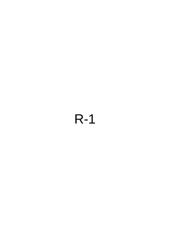# R-1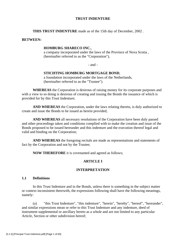## **TRUST INDENTURE**

**THIS TRUST INDENTURE** made as of the 15th day of December, 2002 .

#### **BETWEEN:**

#### **HOMBURG SHARECO INC.**,

a company incorporated under the laws of the Province of Nova Scotia , (hereinafter referred to as the "Corporation"),

- and -

#### **STICHTING HOMBURG MORTGAGE BOND**,

a foundation incorporated under the laws of the Netherlands, (hereinafter referred to as the "Trustee").

**WHEREAS** the Corporation is desirous of raising money for its corporate purposes and with a view to so doing is desirous of creating and issuing the Bonds the issuance of which is provided for by this Trust Indenture;

**AND WHEREAS** the Corporation, under the laws relating thereto, is duly authorized to create and issue the Bonds to be issued as herein provided;

**AND WHEREAS** all necessary resolutions of the Corporation have been duly passed and other proceedings taken and conditions complied with to make the creation and issue of the Bonds proposed to be issued hereunder and this indenture and the execution thereof legal and valid and binding on the Corporation;

**AND WHEREAS** the foregoing recitals are made as representations and statements of fact by the Corporation and not by the Trustee;

**NOW THEREFORE** it is covenanted and agreed as follows;

# **ARTICLE I**

#### **INTERPRETATION**

## **1.1 Definitions**

 In this Trust Indenture and in the Bonds, unless there is something in the subject matter or context inconsistent therewith, the expressions following shall have the following meanings, namely:

(a) "this Trust Indenture", "this indenture", "herein", "hereby", "hereof", "hereunder", and similar expressions mean or refer to this Trust Indenture and any indenture, deed of instrument supplemental or ancillary hereto as a whole and are not limited to any particular Article, Section or other subdivision hereof;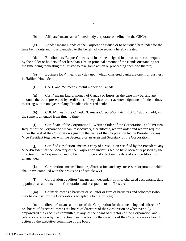(b) "Affiliate" means an affiliated body corporate as defined in the CBCA;

(c) "Bonds" means Bonds of the Corporation issued or to be issued hereunder for the time being outstanding and entitled to the benefit of the security hereby created;

(d) "Bondholders' Request" means an instrument signed in one or more counterparts by the holder or holders of not less than 10% in principal amount of the Bonds outstanding for the time being requesting the Trustee to take some action or proceeding specified therein;

(e) "Business Day" means any day upon which chartered banks are open for business in Halifax, Nova Scotia;

(f) "CAD" and "\$" means lawful money of Canada;

(g) "Cash" means lawful money of Canada or Euros, as the case may be, and any amounts thereof represented by certificates of deposit or other acknowledgments of indebtedness maturing within one year of any Canadian chartered bank;

(h) "CBCA" means the *Canada Business Corporations Act*, R.S.C. 1985, c.C-44, as the same is amended from time to time;

(i) "Certificate of the Corporation", "Written Order of the Corporation" and "Written Request of the Corporation" mean, respectively, a certificate, written order and written request under the seal of the Corporation signed in the name of the Corporation by the President or any Vice President together with the Secretary or an Assistant Secretary of the Corporation;

(j) "Certified Resolution" means a copy of a resolution certified by the President, any Vice-President or the Secretary of the Corporation under its seal to have been duly passed by the directors of the Corporation and to be in full force and effect on the date of such certification, unamended;

(k) "Corporation" means Homburg Shareco Inc. and any successor corporation which shall have complied with the provisions of Article XVIII;

(l) "Corporation's auditors" means an independent firm of chartered accountants duly appointed as auditors of the Corporation and acceptable to the Trustee;

(m) "Counsel" means a barrister or solicitor or firm of barristers and solicitors (who may be counsel for the Corporation) acceptable to the Trustee;

(n) "director" means a director of the Corporation for the time being and "directors" or "board of directors" means the board of directors of the Corporation or whenever duly empowered the executive committee, if any, of the board of directors of the Corporation, and reference to action by the directors means action by the directors of the Corporation as a board or action by the executive committee of the board;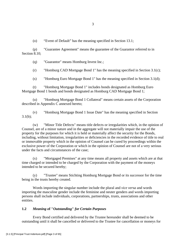(o) "Event of Default" has the meaning specified in Section 13.1;

(p) "Guarantee Agreement" means the guarantee of the Guarantor referred to in Section 8.10;

(q) "Guarantor" means Homburg Invest Inc.;

(r) "Homburg CAD Mortgage Bond 1" has the meaning specified in Section 3.1(c);

(s) "Homburg Euro Mortgage Bond 1" has the meaning specified in Section 3.1(d);

(t) "Homburg Mortgage Bond 1" includes bonds designated as Homburg Euro Mortgage Bond 1 bonds and bonds designated as Homburg CAD Mortgage Bond 1;

(u) "Homburg Mortgage Bond 1 Collateral" means certain assets of the Corporation described in Appendix C annexed hereto;

(v) "Homburg Mortgage Bond 1 Issue Date" has the meaning specified in Section  $3.1(b);$ 

(w) "Minor Title Defects" means title defects or irregularities which, in the opinion of Counsel, are of a minor nature and in the aggregate will not materially impair the use of the property for the purposes for which it is held or materially affect the security for the Bonds, including, without limitation, irregularities or deficiencies in the recorded evidence of title to real or immovable property which in the opinion of Counsel can be cured by proceedings within the exclusive power of the Corporation or which in the opinion of Counsel are not of a very serious under the facts and circumstances of the case;

(x) "Mortgaged Premises" at any time means all property and assets which are at that time charged or intended to be charged by the Corporation with the payment of the moneys intended to be secured hereby;

(y) "Trustee" means Stichting Homburg Mortgage Bond or its successor for the time being in the trusts hereby created.

 Words importing the singular number include the plural and *vice versa* and words importing the masculine gender include the feminine and neuter genders and words importing persons shall include individuals, corporations, partnerships, trusts, associations and other entities.

# **1.2** *Meaning o***f "***Outstanding***"** *for Certain Purposes*

 Every Bond certified and delivered by the Trustee hereunder shall be deemed to be outstanding until it shall be cancelled or delivered to the Trustee for cancellation or moneys for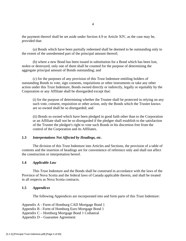the payment thereof shall be set aside under Section 4.9 or Article XIV, as the case may be, provided that:

 (a) Bonds which have been partially redeemed shall be deemed to be outstanding only to the extent of the unredeemed part of the principal amount thereof;

 (b) where a new Bond has been issued in substitution for a Bond which has been lost, stolen or destroyed, only one of them shall be counted for the purpose of determining the aggregate principal amount of Bonds outstanding; and

 (c) for the purposes of any provision of this Trust Indenture entitling holders of outstanding Bonds to vote, sign consents, requisitions or other instruments or take any other action under this Trust Indenture, Bonds owned directly or indirectly, legally or equitably by the Corporation or any Affiliate shall be disregarded except that:

(i) for the purpose of determining whether the Trustee shall be protected in relying on any such vote, consent, requisition or other action, only the Bonds which the Trustee knows are so owned shall be so disregarded; and

(ii) Bonds so owned which have been pledged in good faith other than to the Corporation or an Affiliate shall not be so disregarded if the pledgee shall establish to the satisfaction of the Trustee the pledgee's right to vote such Bonds in his discretion free from the control of the Corporation and its Affiliates.

## **1.3** *Interpretations Not Affected by Headings, etc.*

 The division of this Trust Indenture into Articles and Sections, the provision of a table of contents and the insertion of headings are for convenience of reference only and shall not affect the construction or interpretation hereof.

## **1.4** *Applicable Law*

 This Trust Indenture and the Bonds shall be construed in accordance with the laws of the Province of Nova Scotia and the federal laws of Canada applicable therein, and shall be treated in all respects as Nova Scotia contracts.

## **1.5** *Appendices*

The following Appendices are incorporated into and form parts of this Trust Indenture:

Appendix A - Form of Homburg CAD Mortgage Bond 1

Appendix B - Form of Homburg Euro Mortgage Bond 1

Appendix C – Homburg Mortgage Bond 1 Collateral

Appendix D – Guarantee Agreement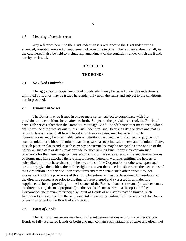#### **1.6 Meaning of certain terms**

 Any reference herein to the Trust Indenture is a reference to the Trust Indenture as amended, re-stated, novated or supplemented from time to time. The term amendment shall, in the case hereof, also be held to include any amendment of the conditions under which the Bonds hereby are issued.

## **ARTICLE II**

#### **THE BONDS**

## **2.1** *No Fixed Limitation*

 The aggregate principal amount of Bonds which may be issued under this indenture is unlimited but Bonds may be issued hereunder only upon the terms and subject to the conditions herein provided.

#### **2.2** *Issuance in Series*

 The Bonds may be issued in one or more series, subject to compliance with the provisions and conditions hereinafter set forth. Subject to the provisions hereof, the Bonds of each such series (other than the Homburg Mortgage Bond 1 bonds hereinafter mentioned, which shall have the attributes set out in this Trust Indenture) shall bear such date or dates and mature on such date or dates, shall bear interest at such rate or rates, may be issued in such denominations, may be redeemable before maturity in such manner and subject to payment of such premium, or without premium, may be payable as to principal, interest and premium, if any, at such place or places and in such currency or currencies, may be repayable at the option of the holder on such date or dates, may provide for such sinking fund, if any may contain such provisions for the interchange or transfer of Bonds of the same series of different denominations or forms, may have attached thereto and/or issued therewith warrants entitling the holders to subscribe for or purchase shares or other securities of the Corporation or otherwise upon such terms, may give the holders thereof the right to convert the same into shares or other securities of the Corporation or otherwise upon such terms and may contain such other provisions, not inconsistent with the provisions of this Trust Indenture, as may be determined by resolution of the directors passed at or prior to the time of issue thereof and expressed in an indenture supplemental hereto providing for the issuance of the Bonds of such series and (to such extent as the directors may deem appropriated) in the Bonds of such series. At the option of the Corporation, the maximum principal amount of Bonds of any series may be limited, such limitation to be expressed in the supplemental indenture providing for the issuance of the Bonds of such series and in the Bonds of such series.

#### **2.3** *Form of Bonds*

 The Bonds of any series may be of different denominations and forms (either coupon Bonds or fully registered Bonds or both) and may contain such variations of tenor and effect, not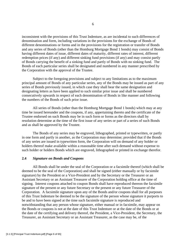inconsistent with the provisions of this Trust Indenture, as are incidental to such differences of denomination and form, including variations in the provisions for the exchange of Bonds of different denominations or forms and in the provisions for the registration or transfer of Bonds and any series of Bonds (other than the Homburg Mortgage Bond 1 bonds) may consist of Bonds having different dates of issue, different dates of maturity, different rates of interest, different redemption prices (if any) and different sinking fund provisions (if any) and may consist partly of Bonds carrying the benefit of a sinking fund and partly of Bonds with no sinking fund. The Bonds of each particular series shall be designated and numbered in any manner prescribed by the Corporation with the approval of the Trustee.

 Subject to the foregoing provisions and subject to any limitations as to the maximum principal amount of Bonds of any particular series, any of the Bonds may be issued as part of any series of Bonds previously issued, in which case they shall bear the same designation and designating letters as have been applied to such similar prior issue and shall be numbered consecutively upwards in respect of each denomination of Bonds in like manner and following the numbers of the Bonds of such prior issue.

 All series of Bonds (other than the Homburg Mortgage Bond 1 bonds) which may at any time be issued hereunder and the coupons, if any, appertaining thereto and the certificate of the Trustee endorsed on such Bonds may be in such form or forms as the directors shall by resolution determine at the time of the first issue of any series or part of a series of such Bonds and as shall be approved by the Trustee.

 The Bonds of any series may be engraved, lithographed, printed or typewritten, or partly in one form and partly in another, as the Corporation may determine; provided that if the Bonds of any series are issued in typewritten form, the Corporation will on demand of any holder or holders thereof make available within a reasonable time after such demand without expense to such holder or holders Bonds which are engraved, lithographed or printed in exchange therefor.

#### **2.4** *Signature on Bonds and Coupons*

 All Bonds shall be under the seal of the Corporation or a facsimile thereof (which shall be deemed to be the seal of the Corporation) and shall be signed (either manually or by facsimile signature) by the President or a Vice-President and by the Secretary or the Treasurer or an Assistant Secretary or an Assistant Treasurer of the Corporation holding office at the time of signing. Interest coupons attached to coupon Bonds shall have reproduced thereon the facsimile signature of the present or any future Secretary or the present or any future Treasurer of the Corporation. A facsimile signature upon any of the Bonds and/or coupons shall for all purposes of this Trust Indenture be deemed to be the signature of the person whose signature it purports to be and to have been signed at the time such facsimile signature is reproduced and notwithstanding that any person whose signature, either manual or in facsimile, may appear on the Bonds or coupons is not at the date of this Trust Indenture or at the date of the Bonds or at the date of the certifying and delivery thereof, the President, a Vice-President, the Secretary, the Treasurer, an Assistant Secretary or an Assistant Treasurer, as the case may be, of the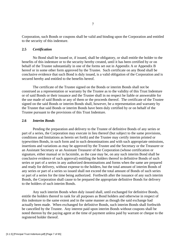Corporation, such Bonds or coupons shall be valid and binding upon the Corporation and entitled to the security of this indenture.

## **2.5** *Certification*

 No Bond shall be issued or, if issued, shall be obligatory, or shall entitle the holder to the benefits of this indenture or to the security hereby created, until it has been certified by or on behalf of the Trustee substantially in one of the forms set out in Appendix A or Appendix B hereof or in some other form approved by the Trustee. Such certificate on any Bond shall be conclusive evidence that such Bond is duly issued, is a valid obligation of the Corporation and is secured hereby and entitled to the benefits hereof.

 The certificate of the Trustee signed on the Bonds or interim Bonds shall not be construed as a representation or warranty by the Trustee as to the validity of this Trust Indenture or of said Bonds or their issuance and the Trustee shall in no respect be liable or answerable for the use made of said Bonds or any of them or the proceeds thereof. The certificate of the Trustee signed on the said Bonds or interim Bonds shall, however, be a representation and warranty by the Trustee that said Bonds or interim Bonds have been duly certified by or on behalf of the Trustee pursuant to the provisions of this Trust Indenture.

## **2.6** *Interim Bonds*

 Pending the preparation and delivery to the Trustee of definitive Bonds of any series or part of a series, the Corporation may execute in lieu thereof (but subject to the same provisions, conditions and limitations as herein set forth) and the Trustee may certify interim printed or typewritten Bonds, in such form and in such denominations and with such appropriate omissions, insertions and variations as may be approved by the Trustee and the Secretary or the Treasurer or an Assistant Secretary or an Assistant Treasurer of the Corporation (whose certification or signature, either manual or in facsimile, as the case may be, on any such interim Bond shall be conclusive evidence of such approval) entitling the holders thereof to definitive Bonds of such series or part of a series in any authorized denominations and forms when the same are prepared and ready for delivery, without expense to the holders, but the total amount of interim Bonds of any series or part of a series so issued shall not exceed the total amount of Bonds of such series or part of a series for the time being authorized. Forthwith after the issuance of any such interim Bonds, the Corporation shall cause to be prepared the appropriate definitive Bonds for delivery to the holders of such interim Bonds.

 Any such interim Bonds when duly issued shall, until exchanged for definitive Bonds, entitle the holders thereof to rank for all purposes as Bond holders and otherwise in respect of this indenture to the same extent and in the same manner as though the said exchange had actually been made. When exchanged for definitive Bonds, such interim Bonds shall forthwith be cancelled by the Trustee. Any interest paid upon interim Bonds without coupons shall be noted thereon by the paying agent at the time of payment unless paid by warrant or cheque to the registered holder thereof.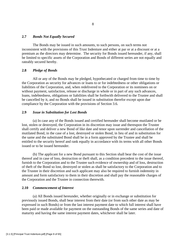#### **2.7** *Bonds Not Equally Secured*

 The Bonds may be issued in such amounts, to such persons, on such terms not inconsistent with the provisions of this Trust Indenture and either at par or at a discount or at a premium as the directors may determine. The security for Bonds issued hereunder, if any, shall be limited to specific assets of the Corporation and Bonds of different series are not equally and rateably secured hereby.

## **2.8** *Pledge of Bonds*

 All or any of the Bonds may be pledged, hypothecated or charged from time to time by the Corporation as security for advances or loans to or for indebtedness or other obligations or liabilities of the Corporation, and, when redelivered to the Corporation or its nominees on or without payment, satisfaction, release or discharge in whole or in part of any such advances, loans, indebtedness, obligations or liabilities shall be forthwith delivered to the Trustee and shall be cancelled by it, and no Bonds shall be issued in substitution therefor except upon due compliance by the Corporation with the provisions of Section 3.6.

## **2.9** *Issue in Substitution for Lost Bonds*

 (a) In case any of the Bonds issued and certified hereunder shall become mutilated or be lost, stolen or destroyed, the Corporation in its discretion may issue and thereupon the Trustee shall certify and deliver a new Bond of like date and tenor upon surrender and cancellation of the mutilated Bond, in the case of a lost, destroyed or stolen Bond, in lieu of and in substitution for the same and the substituted Bond shall be in a form approved by the Trustee and shall be entitled to the security hereof and rank equally in accordance with its terms with all other Bonds issued or to be issued hereunder.

 (b) The applicant for a new Bond pursuant to this Section shall bear the cost of the issue thereof and in case of loss, destruction or theft shall, as a condition precedent to the issue thereof, furnish to the Corporation and to the Trustee such evidence of ownership and of loss, destruction of theft of the Bond so lost, destroyed or stolen as shall be satisfactory to the Corporation and to the Trustee in their discretion and such applicant may also be required to furnish indemnity in amount and form satisfactory to them in their discretion and shall pay the reasonable charges of the Corporation and the Trustee in connection therewith.

#### **2.10** *Commencement of Interest*

 (a) All Bonds issued hereunder, whether originally or in exchange or substitution for previously issued Bonds, shall bear interest from their date (or from such other date as may be expressed in such Bonds) or from the last interest payment date to which full interest shall have been paid or made available for payment on the outstanding Bonds of the same series and date of maturity and having the same interest payment dates, whichever shall be later.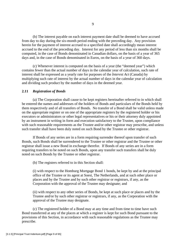(b) The interest payable on each interest payment date shall be deemed to have accrued from day to day during the six-month period ending with the preceding day. Any provision herein for the payment of interest accrued to a specified date shall accordingly mean interest accrued to the end of the preceding day. Interest for any period of less than six months shall be computed, in the case of Bonds denominated in Canadian dollars, on the basis of a year of 365 days and, in the case of Bonds denominated in Euros, on the basis of a year of 360 days.

 (c) Whenever interest is computed on the basis of a year (the "deemed year") which contains fewer than the actual number of days in the calendar year of calculation, such rate of interest shall be expressed as a yearly rate for purposes of the *Interest Act* (Canada) by multiplying such rate of interest by the actual number of days in the calendar year of calculation and dividing such product by the number of days in the deemed year.

#### **2.11** *Registration of Bonds*

 (a) The Corporation shall cause to be kept registers hereinafter referred to in which shall be entered the names and addresses of the holders of Bonds and particulars of the Bonds held by them respectively and of all transfers of Bonds. No transfer of a Bond shall be valid unless made on the appropriate register or on one of the appropriate registers by the registered holder or his executors or administrators or other legal representatives or his or their attorney duly appointed by an instrument in writing in form and execution satisfactory to the Trustee, upon compliance with such reasonable requirements as the Trustee and/or other registrar may prescribe, and unless such transfer shall have been duly noted on such Bond by the Trustee or other registrar.

 If Bonds of any series are in a form requiring surrender thereof upon transfer of such Bonds, such Bonds shall be surrendered to the Trustee or other registrar and the Trustee or other registrar shall issue a new Bond in exchange therefor. If Bonds of any series are in a form requiring transfers to be noted on such Bonds, upon any transfer such transfers shall be duly noted on such Bonds by the Trustee or other registrar.

(b) The registers referred to in this Section shall:

(i) with respect to the Homburg Mortgage Bond 1 bonds, be kept by and at the principal office of the Trustee or its agent at Soest, The Netherlands, and at such other place or places and by the Trustee and by such other registrar or registrars, if any, as the Corporation with the approval of the Trustee may designate; and

(ii) with respect to any other series of Bonds, be kept at such place or places and by the Trustee and/or by such other registrar or registrars, if any, as the Corporation with the approval of the Trustee may designate.

 (c) The registered holder of a Bond may at any time and from time to time have such Bond transferred at any of the places at which a register is kept for such Bond pursuant to the provisions of this Section, in accordance with such reasonable regulations as the Trustee may prescribe.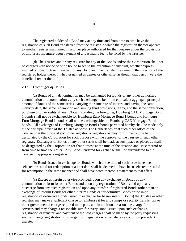The registered holder of a Bond may at any time and from time to time have the registration of such Bond transferred from the register in which the registration thereof appears to another register maintained in another place authorized for that purpose under the provisions of this Trust Indenture upon payment of a reasonable fee to be fixed by the Trustee.

 (d) The Trustee and/or any registrar for any of the Bonds and/or the Corporation shall not be charged with notice of or be bound to see to the execution of any trust, whether express, implied or constructive, in respect of any Bond and may transfer the same on the direction of the registered holder thereof, whether named as trustee or otherwise, as though that person were the beneficial owner thereof.

#### **2.12** *Exchanges of Bonds*

 (a) Bonds of any denomination may be exchanged for Bonds of any other authorized denomination or denominations, any such exchange to be for an equivalent aggregate principal amount of Bonds of the same series, carrying the same rate of interest and having the same maturity date, the same redemption and sinking fund provisions, if any, and the same conversion, purchase or other rights, if any. Notwithstanding the foregoing, Homburg CAD Mortgage Bond 1 bonds shall not be exchangeable for Homburg Euro Mortgage Bond 1 bonds and Homburg Euro Mortgage Bond 1 bonds shall not be exchangeable for Homburg CAD Mortgage Bond 1 bonds. All exchanges of Homburg Mortgage Bond 1 bonds permitted hereby shall be made only at the principal office of the Trustee at Soest, The Netherlands or at such other office of the Trustee or at the office of such other registrar or registrars as may form time to time be designated by the Corporation for such purpose with the approval of the Trustee or such other registrar. Exchanges of Bonds of any other series shall be made at such place or places as shall be designated by the Corporation for that purpose at the time of the creation and issue thereof or from time to time thereafter. Any Bonds tendered for exchange shall be surrendered to the Trustee or appropriate registrar.

 (b) Bonds issued in exchange for Bonds which at the time of such issue have been selected or called for redemption at a later date shall be deemed to have been selected or called for redemption in the same manner and shall have noted thereon a statement to that effect.

 (c) Except as herein otherwise provided, upon any exchange of Bonds of any denomination or form for other Bonds and upon any registration of Bonds and upon any discharge from any such registration and upon any transfer of registered Bonds (other than an exchange of interim Bonds for other interim Bonds or for definitive Bonds or the initial registration of definitive Bonds issued in exchange for bearer interim Bonds) the Trustee or other registrar may make a sufficient charge to reimburse it for any stamps or security transfer tax or other governmental charge required to be paid, and in addition a reasonable charge for its services and may charge a reasonable sum for every Bond issued upon such exchange, registration or transfer, and payment of the said charges shall be made by the party requesting such exchange, registration, discharge from registration or transfer as a condition precedent thereto.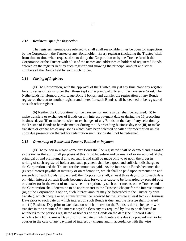#### **2.13** *Registers Open for Inspection*

 The registers hereinbefore referred to shall at all reasonable times be open for inspection by the Corporation, the Trustee or any Bondholder. Every registrar (including the Trustee) shall from time to time when requested so to do by the Corporation or by the Trustee furnish the Corporation or the Trustee with a list of the names and addresses of holders of registered Bonds entered on the register kept by such registrar and showing the principal amount and serial numbers of the Bonds held by each such holder.

#### **2.14** *Closing of Registers*

 (a) The Corporation, with the approval of the Trustee, may at any time close any register for any series of Bonds other than those kept at the principal offices of the Trustee at Soest, The Netherlands for Homburg Mortgage Bond 1 bonds, and transfer the registration of any Bonds registered thereon to another register and thereafter such Bonds shall be deemed to be registered on such other register.

 (b) Neither the Corporation nor the Trustee nor any registrar shall be required: (i) to make transfers or exchanges of Bonds on any interest payment date or during the 15 preceding business days; (ii) to make transfers or exchanges of any Bonds on the day of any selection by the Trustee of Bonds to be redeemed or during the 15 preceding business days; or (iii) to make transfers or exchanges of any Bonds which have been selected or called for redemption unless upon due presentation thereof for redemption such Bonds shall not be redeemed.

#### **2.15** *Ownership of Bonds and Persons Entitled to Payment*

 (a) The person in whose name any Bond shall be registered shall be deemed and regarded as the owner thereof for all purposes of this Trust Indenture and payment of or on account of the principal of and premium, if any, on such Bond shall be made only to or upon the order in writing of such registered holder and such payment shall be a good and sufficient discharge to the Corporation and the Trustee for the amount so paid. As the interest on Bonds becomes due (except interest payable at maturity or on redemption, which shall be paid upon presentation and surrender of such Bonds for payment) the Corporation shall, at least three days prior to each date on which interest on such Bonds becomes due, forward or cause to be forwarded by prepaid post or courier (or in the event of mail service interruption, by such other means as the Trustee and the Corporation shall determine to be appropriate) to the Trustee a cheque for the interest amount (or, at the Corporation's option, such interest amount may be forwarded to the Trustee by wire transfer), which cheque or wire transfer must be received by the Trustee at least two (2) Business Days prior to each date on which interest on such Bonds is due, and the Trustee shall forward one (1) Business Day prior to each date on which interest on the Bonds is due a cheque or wire transfer in the amount of the interest payable (less any tax required by law to be deducted or withheld) to the persons registered as holders of the Bonds on the date (the "Record Date") which is ten (10) Business Days prior to the date on which interest is due (by prepaid mail or by courier in the case of any payment of interest by cheque and in accordance with the wire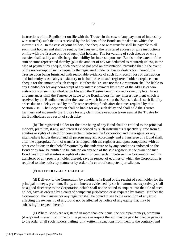instructions of the Bondholder on file with the Trustee in the case of any payment of interest by wire transfer) such that it is received by the holders of the Bonds on the date on which the interest is due. In the case of joint holders, the cheque or wire transfer shall be payable to all such joint holders and shall be sent by the Trustee to the registered address or wire instructions on file with the Trustee of one of such joint holders. The forwarding of such cheque or wire transfer shall satisfy and discharge the liability for interest upon such Bonds to the extent of the sum or sums represented thereby (plus the amount of any tax deducted as required) unless, in the case of payment by cheque, such cheque be not paid on presentation; provided that in the event of the non-receipt of such cheque by the registered holder or loss or destruction thereof, the Trustee upon being furnished with reasonable evidence of such non-receipt, loss or destruction and indemnity reasonably satisfactory to it shall issue to such registered holder a replacement cheque for the amount of such cheque. Neither the Trustee nor the Corporation shall be liable to any Bondholder for any non-receipt of any interest payment by reason of the address or wire instructions of such Bondholder on file with the Trustee being incorrect or incomplete. In no circumstances shall the Trustee be liable to the Bondholders for any interest payment which is received by the Bondholders after the date on which interest on the Bonds is due if such liability arises due to a delay caused by the Trustee receiving funds after the times required by this Section 2.15. The Corporation shall be liable for any such delay and shall hold the Trustee harmless and indemnify the Trustee for any claim made or action taken against the Trustee by the Bondholders as a result of such delay.

 (b) The registered holder for the time being of any Bond shall be entitled to the principal moneys, premium, if any, and interest evidenced by such instruments respectively, free from all equities or rights of set-off or counterclaim between the Corporation and the original or any intermediate holder thereof and all persons may act accordingly and a transferee of a Bond shall, after the appropriate form of transfer is lodged with the registrar and upon compliance with all other conditions in that behalf required by this indenture or by any conditions endorsed on the Bond or by law, be entitled to be entered on any one of the said registers as the owner of such Bond free from all equities or rights of set-off or counterclaim between the Corporation and his transferor or any previous holder thereof, save in respect of equities of which the Corporation is required to take notice by statute or by order of a court of competent jurisdiction.

#### (c) INTENTIONALLY DELETED.

 (d) Delivery to the Corporation by a holder of a Bond or the receipt of such holder for the principal moneys, premium, if any, and interest evidenced by such instruments respectively shall be a good discharge to the Corporation, which shall not be bound to enquire into the title of such holder, save as ordered by a court of competent jurisdiction or as required by statute. Neither the Corporation, the Trustee nor any registrar shall be bound to see to the execution of any trust affecting the ownership of any Bond nor be affected by notice of any equity that may be subsisting in respect thereof.

 (e) Where Bonds are registered in more than one name, the principal moneys, premium (if any) and interest from time to time payable in respect thereof may be paid by cheque payable to the order of all such holders, failing joint written instructions from them to the contrary, and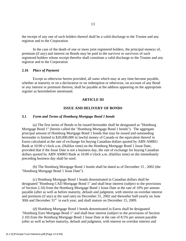the receipt of any one of such holders thereof shall be a valid discharge to the Trustee and any registrar and to the Corporation.

 In the case of the death of one or more joint registered holders, the principal moneys of, premium (if any) and interest on Bonds may be paid to the survivor or survivors of such registered holders whose receipt therefor shall constitute a valid discharge to the Trustee and any registrar and to the Corporation

#### **2.16** *Place of Payment*

 Except as otherwise herein provided, all sums which may at any time become payable, whether at maturity or on a declaration or on redemption or otherwise, on account of any Bond or any interest or premium thereon, shall be payable at the address appearing on the appropriate register as hereinbefore mentioned.

#### **ARTICLE III**

#### **ISSUE AND DELIVERY OF BONDS**

#### **3.1** *Form and Terms of Homburg Mortgage Bond 1 bonds*

 (a) The first series of Bonds to be issued hereunder shall be designated as "Homburg Mortgage Bond 1" (herein called the "Homburg Mortgage Bond 1 bonds"). The aggregate principal amount of Homburg Mortgage Bond 1 bonds that may be issued and outstanding hereunder is limited to \$20,000,000 in lawful money of Canada or the equivalent thereof in Euros calculated at the rate of exchange for buying Canadian dollars quoted by ABN AMRO Bank at 10:00 o'clock a.m. (Halifax time) on the Homburg Mortgage Bond 1 Issue Date, provided that if the Issue Date is not a business day, the rate of exchange for buying Canadian dollars quoted by ABN AMRO Bank at 10:00 o'clock a.m. (Halifax time) on the immediately preceding business day shall be used.

 (b) The Homburg Mortgage Bond 1 bonds shall be dated as of December 15 , 2002 (the "Homburg Mortgage Bond 1 Issue Date").

(c) Homburg Mortgage Bond 1 bonds denominated in Canadian dollars shall be designated "Homburg CAD Mortgage Bond 1" and shall bear interest (subject to the provisions of Section 2.10) from the Homburg Mortgage Bond 1 Issue Date at the rate of 10% per annum payable (after as well as before maturity, default and judgment, with interest on overdue interest and premium (if any) at the said rate) on December 31, 2002 and thereafter half-yearly on June 30th and December  $31<sup>st</sup>$  in each year; and shall mature on December 15, 2009.

(d) Homburg Mortgage Bond 1 bonds denominated in Euros shall be designated "Homburg Euro Mortgage Bond 1" and shall bear interest (subject to the provisions of Section 2.10) from the Homburg Mortgage Bond 1 Issue Date at the rate of 8.5% per annum payable (after as well as before maturity, default and judgment, with interest on overdue interest and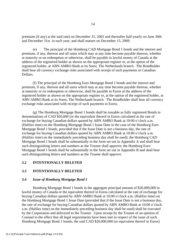premium (if any) at the said rate) on December 31, 2002 and thereafter half-yearly on June 30th and December 31st in each year; and shall mature on December 15, 2009.

(e) The principal of the Homburg CAD Mortgage Bond 1 bonds and the interest and premium, if any, thereon and all sums which may at any time become payable thereon, whether at maturity or on redemption or otherwise, shall be payable in lawful money of Canada at the address of the registered holder as shown on the appropriate register or, at the option of the registered holder, at ABN AMRO Bank at its Soest, The Netherlands branch. The Bondholder shall bear all currency exchange risks associated with receipt of such payments in Canadian Dollars.

 (f) The principal of the Homburg Euro Mortgage Bond 1 bonds and the interest and premium, if any, thereon and all sums which may at any time become payable thereon, whether at maturity or on redemption or otherwise, shall be payable in Euros at the address of the registered holder as shown on the appropriate register or, at the option of the registered holder, at ABN AMRO Bank at its Soest, The Netherlands branch. The Bondholder shall bear all currency exchange risks associated with receipt of such payments in Euros.

 (g) The Homburg Mortgage Bond 1 bonds shall be issuable as fully registered Bonds in denominations of CAD \$20,000 (or the equivalent thereof in Euros calculated at the rate of exchange for buying Canadian dollars quoted by ABN AMRO Bank at 10:00 o'clock a.m. (Halifax time) on the Homburg Mortgage Bond 1 Issue Date in the case of the Homburg Euro Mortgage Bond 1 bonds, provided that if the Issue Date is not a business day, the rate of exchange for buying Canadian dollars quoted by ABN AMRO Bank at 10:00 o'clock a.m. (Halifax time) on the immediately preceding business day shall be used); the Homburg CAD Mortgage Bond 1 bonds shall be substantially in the form set out in Appendix A and shall bear such distinguishing letters and numbers as the Trustee shall approve; the Homburg Euro Mortgage Bond 1 bonds shall be substantially in the form set out in Appendix B and shall bear such distinguishing letters and numbers as the Trustee shall approve.

## **3.2 INTENTIONALLY DELETED**

## **3.3 INTENTIONALLY DELETED**

## **3.4** *Issue of Homburg Mortgage Bond 1*

 Homburg Mortgage Bond 1 bonds in the aggregate principal amount of \$20,000,000 in lawful money of Canada or the equivalent thereof in Euros calculated at the rate of exchange for buying Canadian dollars quoted by ABN AMRO Bank at 10:00 o'clock a.m. (Halifax time) on the Homburg Mortgage Bond 1 Issue Date (provided that if the Issue Date is not a business day, the rate of exchange for buying Canadian dollars quoted by ABN AMRO Bank at 10:00 o'clock a.m. (Halifax time) on the immediately preceding business day shall be used) shall be executed by the Corporation and delivered to the Trustee. Upon receipt by the Trustee of an opinion of Counsel to the effect that all legal requirements have been met in respect of the issue of such Homburg Mortgage Bond 1 bonds, the said CAD \$20,000,000 (or equivalent thereof in Euros)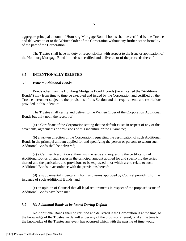aggregate principal amount of Homburg Mortgage Bond 1 bonds shall be certified by the Trustee and delivered to or to the Written Order of the Corporation without any further act or formality of the part of the Corporation.

 The Trustee shall have no duty or responsibility with respect to the issue or application of the Homburg Mortgage Bond 1 bonds so certified and delivered or of the proceeds thereof.

#### **3.5 INTENTIONALLY DELETED**

#### **3.6** *Issue to Additional Bonds*

 Bonds other than the Homburg Mortgage Bond 1 bonds (herein called the "Additional Bonds") may from time to time be executed and issued by the Corporation and certified by the Trustee hereunder subject to the provisions of this Section and the requirements and restrictions provided in this indenture.

 The Trustee shall certify and deliver to the Written Order of the Corporation Additional Bonds but only upon the receipt of:

 (a) a Certificate of the Corporation stating that no default exists in respect of any of the covenants, agreements or provisions of this indenture or the Guarantee;

 (b) a written direction of the Corporation requesting the certification of such Additional Bonds in the principal amount applied for and specifying the person or persons to whom such Additional Bonds shall be delivered;

(c) a Certified Resolution authorizing the issue and requesting the certification of Additional Bonds of such series in the principal amount applied for and specifying the series thereof and the particulars and provisions to be expressed in or which are to relate to such Additional Bonds in accordance with the provisions hereof;

 (d) a supplemental indenture in form and terms approved by Counsel providing for the issuance of such Additional Bonds; and

 (e) an opinion of Counsel that all legal requirements in respect of the proposed issue of Additional Bonds have been met.

## **3.7** *No Additional Bonds to be Issued During Default*

 No Additional Bonds shall be certified and delivered if the Corporation is at the time, to the knowledge of the Trustee, in default under any of the provisions hereof, or if at the time to the knowledge of the Trustee any event has occurred which with the passing of time would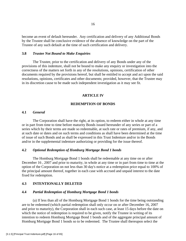become an event of default hereunder. Any certification and delivery of any Additional Bonds by the Trustee shall be conclusive evidence of the absence of knowledge on the part of the Trustee of any such default at the time of such certification and delivery.

## **3.8** *Trustee Not Bound to Make Enquiries*

 The Trustee, prior to the certification and delivery of any Bonds under any of the provisions of this indenture, shall not be bound to make any enquiry or investigation into the correctness of the matters set forth in any of the resolutions, opinions, certification of other documents required by the provisions hereof, but shall be entitled to accept and act upon the said resolutions, opinions, certificates and other documents; provided, however, that the Trustee may in its discretion cause to be made such independent investigation as it may see fit.

#### **ARTICLE IV**

## **REDEMPTION OF BONDS**

## **4.1** *General*

 The Corporation shall have the right, at its option, to redeem either in whole at any time or in part from time to time before maturity Bonds issued hereunder of any series or part of a series which by their terms are made so redeemable, at such rate or rates of premium, if any, and at such date or dates and on such terms and conditions as shall have been determined at the time of issue of such Bonds and as shall be expressed in this Trust Indenture and/or in the Bonds and/or in the supplemental indenture authorizing or providing for the issue thereof.

## **4.2** *Optional Redemption of Homburg Mortgage Bond 1 bonds*

The Homburg Mortgage Bond 1 bonds shall be redeemable at any time on or after December 16 , 2007 and prior to maturity, in whole at any time or in part from time to time at the option of the Corporation on not less than 30 day's notice at a redemption price equal to 100% of the principal amount thereof, together in each case with accrued and unpaid interest to the date fixed for redemption.

#### **4.3 INTENTIONALLY DELETED**

#### **4.4** *Partial Redemption of Homburg Mortgage Bond 1 bonds*

 (a) If less than all of the Homburg Mortgage Bond 1 bonds for the time being outstanding are to be redeemed (which partial redemption shall only occur on or after December 16, 2007 and prior to maturity), the Corporation shall in each such case, at least 15 days before the date on which the notice of redemption is required to be given, notify the Trustee in writing of its intention to redeem Homburg Mortgage Bond 1 bonds and of the aggregate principal amount of Homburg Mortgage Bond 1 bonds so to be redeemed. The Trustee shall thereupon select the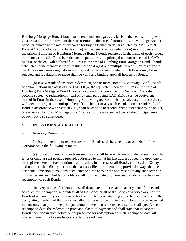Homburg Mortgage Bond 1 bonds to be redeemed on a *pro rata* basis to the nearest multiple of CAD \$1,000 (or the equivalent thereof in Euros in the case of Homburg Euro Mortgage Bond 1 bonds calculated at the rate of exchange for buying Canadian dollars quoted by ABN AMRO Bank at 10:00 o'clock a.m. (Halifax time) on the date fixed for redemption) in accordance with the principal amount of Homburg Mortgage Bond 1 bonds registered in the name of each holder, but in no case shall a Bond be redeemed in part unless the principal amount redeemed is CAD \$1,000 (or the equivalent thereof in Euros in the case of Homburg Euro Mortgage Bond 1 bonds calculated in the manner set forth in this Section 4.4(a)) or a multiple thereof. For this purpose the Trustee may make regulations with regard to the manner in which such Bonds may be so selected and regulations so made shall be valid and binding upon all holders of Bonds.

 (b) If as a result of any such redemption, one or more Homburg Mortgage Bond 1 bonds of denominations in excess of CAD \$1,000 (or the equivalent thereof in Euros in the case of Homburg Euro Mortgage Bond 1 bonds calculated in accordance with Section 4.4(a)) shall become subject to redemption in part only (such part being CAD \$1,000 (or the equivalent thereof in Euros in the case of Homburg Euro Mortgage Bond 1 bonds calculated in accordance with Section 4.4(a)) or a multiple thereof), the holder of any such Bond, upon surrender of such Bond in accordance with Section 2.12, shall be entitled to receive, without expense to the holder, one or more Homburg Mortgage Bond 1 bonds for the unredeemed part of the principal amount of such Bond so surrendered.

#### **4.5 INTENTIONALLY DELETED**

## **4.6** *Notice of Redemption*

 Notice of intention to redeem any of the Bonds shall be given by or on behalf of the Corporation in the following manner:

 (a) notice of intention to redeem such Bond shall be given to each holder of such Bond by letter or circular sent postage prepaid, addressed to him at his last address appearing upon one of the registers hereinbefore mentioned and mailed, in the case of all Bonds, not less than 30 days and not more than 60 days prior to the date specified for redemption; provided always that the accidental omission to mail any such letter or circular to or the non-receipt of any such letter or circular by any such holder or holders shall not invalidate or otherwise prejudicially affect the redemption of such Bonds;

(b) every notice of redemption shall designate the series and maturity date of the Bonds so called for redemption, and unless all of the Bonds or all of the Bonds of a series or all of the Bonds of one maturity so designated for the time being outstanding are to be redeemed, state the designating numbers of the Bonds so called for redemption and in case a Bond is to be redeemed in part, only that part of the principal amount thereof so to be redeemed, and shall specify the redemption date, the redemption price and places of payment and shall state that in case the Bonds specified in such notice be not presented for redemption on such redemption date, all interest thereon shall cease from and after the said date.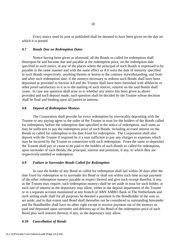Every notice send by post or published shall be deemed to have been given on the day on which it is posted.

#### **4.7** *Bonds Due on Redemption Dates*

 Notice having been given as aforesaid, all the Bonds so called for redemption shall thereupon be and become due and payable at the redemption price, on the redemption date specified in such notice, at any of the places where the principal of such Bonds is expressed to be payable in the same manner and with the same effect as if it were the date of maturity specified in such Bonds respectively, anything therein or herein to the contrary notwithstanding, and from and after such redemption date, if the moneys necessary to redeem such Bonds shall have been deposited as provided in Section 4.8 and the Trustee shall have been furnished with affidavits or other proof satisfactory to it as to the mailing of such notices, interest on the said Bonds shall cease. In case any question shall arise as to whether any notice has been given as above provided and such deposit made, such question shall be decided by the Trustee whose decision shall be final and binding upon all parties in interest.

#### **4.8** *Deposit of Redemption Moneys*

 The Corporation shall provide for every redemption by irrevocably depositing with the Trustee or any paying agent to the order of the Trustee in trust for the holders of the Bonds called for redemption, before the redemption date specified in the notice of redemption, such sums as may be sufficient to pay the redemption price of such Bonds, including accrued interest on the Bonds so called for redemption to the date fixed for redemption. The Corporation shall also deposit with the Trustee if required by it a sum sufficient to pay any charges or expenses which may be incurred by the Trustee in connection with such redemption. From the sums so deposited the Trustee shall pay or cause to be paid to the holders of such Bonds so called for redemption, upon surrender of such Bonds, the principal, interest and premium, if any, to which they are respectively entitled or redemption.

## **4.9** *Failure to Surrender Bonds Called for Redemption*

 In case the holder of any Bond so called for redemption shall fail within 30 days after the date fixed for redemption so to surrender his Bond or shall not within such time accept payment of the other redemption moneys payable in respect thereof and give such receipt therefor, if any, as the Trustee may require, such redemption moneys shall be set aside in trust for such holder, at such rate of interest as the depositary may allow, either in the deposit department of the Trustee or in a separate account maintained at any branch of ABN AMRO Bank in The Netherlands and such setting aside shall for all purposes be deemed a payment to the Bondholder of the sum so set aside, and to that extent said Bond shall thereafter not be considered as outstanding hereunder and the Bondholder shall have no other right except to receive payment out of the moneys so paid and deposited upon surrender and delivery up of his Bond of the redemption price of such Bond plus such interest thereon, if any, as the depositary may allow.

#### **4.10** *Cancellation of Bonds*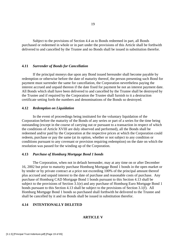Subject to the provisions of Section 4.4 as to Bonds redeemed in part, all Bonds purchased or redeemed in whole or in part under the provisions of this Article shall be forthwith delivered to and cancelled by the Trustee and no Bonds shall be issued in substitution therefor.

#### **4.11** *Surrender of Bonds for Cancellation*

 If the principal moneys due upon any Bond issued hereunder shall become payable by redemption or otherwise before the date of maturity thereof, the person presenting such Bond for payment must surrender the same for cancellation, the Corporation nevertheless paying the interest accrued and unpaid thereon if the date fixed for payment be not an interest payment date. All Bonds which shall have been delivered to and cancelled by the Trustee shall be destroyed by the Trustee and if required by the Corporation the Trustee shall furnish to it a destruction certificate setting forth the numbers and denominations of the Bonds so destroyed.

#### **4.12** *Redemption on Liquidation*

 In the event of proceedings being instituted for the voluntary liquidation of the Corporation before the maturity of the Bonds of any series or part of a series for the time being outstanding (except in the course of carrying out or pursuant to a transaction in respect of which the conditions of Article XVIII are duly observed and performed), all the Bonds shall be redeemed and/or paid by the Corporation at the respective prices at which the Corporation could redeem, purchase or pay the same (at its option, whether or not subject to any condition or conditions pursuant to any covenant or provision requiring redemption) on the date on which the resolution was passed for the winding up of the Corporation.

#### **4.13** *Purchase of Homburg Mortgage Bond 1 bonds*

 The Corporation, when not in default hereunder, may at any time on or after December 16, 2002 but prior to maturity purchase Homburg Mortgage Bond 1 bonds in the open market or by tender or by private contract at a price not exceeding 100% of the principal amount thereof plus accrued and unpaid interest to the date of purchase and reasonable costs of purchase. Any purchase of Homburg CAD Mortgage Bond 1 bonds pursuant to this Section 4.13 shall be subject to the provisions of Section 3.1(e) and any purchase of Homburg Euro Mortgage Bond 1 bonds pursuant to this Section 4.13 shall be subject to the provisions of Section 3.1(f). All Homburg Mortgage Bond 1 bonds so purchased shall forthwith be delivered to the Trustee and shall be cancelled by it and no Bonds shall be issued in substitution therefor.

## **4.14 INTENTIONALLY DELETED**

## **ARTICLE V**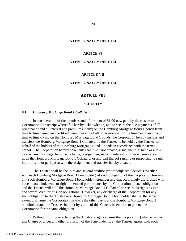## **INTENTIONALLY DELETED**

## **ARTICE VI**

## **INTENTIONALLY DELETED**

#### **ARTICLE VII**

### **INTENTIONALLY DELETED**

## **ARTICLE VlII**

#### **SECURITY**

## **8.1** *Homburg Mortgage Bond 1 Collateral*

 In consideration of the premises and of the sum of \$1.00 now paid by the trustee to the Corporation (the receipt whereof is hereby acknowledge) and to secure the due payments of all principal of and all interest and premium (if any) on the Homburg Mortgage Bond 1 bonds from time to time issued and certified hereunder and of all other moneys for the time being and from time to time owing on the Homburg Mortgage Bond 1 bonds, the Corporation hereby assigns and transfers the Homburg Mortgage Bond 1 Collateral to the Trustee to be held by the Trustee on behalf of the holders of the Homburg Mortgage Bond 1 bonds in accordance with the terms hereof. The Corporation hereby covenants that it will not created, issue, incur, assume or allow to exist any mortgage, hypothec, charge, pledge, lien, security interest or other encumbrance upon the Homburg Mortgage Bond 1 Collateral or any part thereof ranking or purporting to rank in priority to or pari passu with the assignment and transfer hereby created.

 The Trustee shall be the joint and several creditor ("hoofdelijk schuldeiser") together with each Homburg Mortgage Bond 1 bondholder) of each obligation of the Corporation towards any such Homburg Mortgage Bond 1 bondholder hereunder and that accordingly the Trustee will have its own independent right to demand performance by the Corporation of such obligation and the Trustee will hold the Homburg Mortgage Bond 1 Collateral to secure its rights as joint and several creditor of such obligations. However, any discharge of the Corporation for any such obligation to the Trustee or a Homburg Mortgage Bond 1 bondholder shall to the same extent discharge the Corporation vis-à-vis the other party, and a Homburg Mortgage Bond 1 bondholder and the Trustee shall not by virtue of this Clause, be entitled to pursue the Corporation for the same obligation.

 Without limiting or affecting the Trustee's rights against the Corporation (whether under this Clause or under any other provision of the Trust Indenture), the Trustee agrees with each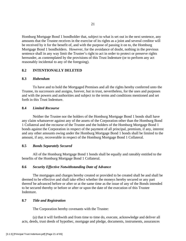Homburg Mortgage Bond 1 bondholder that, subject to what is set out in the next sentence, any amounts that the Trustee receives in the exercise of its rights as a joint and several creditor will be received by it for the benefit of, and with the purpose of passing it on to, the Homburg Mortgage Bond 1 bondholders. However, for the avoidance of doubt, nothing in the previous sentence shall in any way limit the Trustee's right to act in order to protect or preserve rights hereunder, as contemplated by the provisions of this Trust Indenture (or to perform any act reasonably incidental to any of the foregoing).

## **8.2 INTENTIONALLY DELETED**

## **8.3** *Habendum*

 To have and to hold the Mortgaged Premises and all the rights hereby conferred unto the Trustee, its successors and assigns, forever, but in trust, nevertheless, for the uses and purposes and with the powers and authorities and subject to the terms and conditions mentioned and set forth in this Trust Indenture.

#### **8.4** *Limited Recourse*

Neither the Trustee nor the holders of the Homburg Mortgage Bond 1 bonds shall have any claim whatsoever against any of the assets of the Corporation other than the Homburg Bond 1 Collateral and the recourse of the Trustee and the holders of the Homburg Mortgage Bond 1 bonds against the Corporation in respect of the payment of all principal, premium, if any, interest and any other amounts owing under the Homburg Mortgage Bond 1 bonds shall be limited to the amount, if any, recoverable in respect of the Homburg Mortgage Bond 1 Collateral.

## **8.5** *Bonds Separately Secured*

 All of the Homburg Mortgage Bond 1 bonds shall be equally and rateably entitled to the benefits of the Homburg Mortgage Bond 1 Collateral.

#### **8.6** *Security Effective Notwithstanding Date of Advance*

 The mortgages and charges hereby created or provided to be created shall be and shall be deemed to be effective and shall take effect whether the moneys hereby secured or any part thereof be advanced before or after or at the same time as the issue of any of the Bonds intended to be secured thereby or before or after or upon the date of the execution of this Trustee Indenture.

#### **8.7** *Title and Registration*

The Corporation hereby covenants with the Trustee:

 (a) that it will forthwith and from time to time do, execute, acknowledge and deliver all acts, deeds, trust deeds of hypothec, mortgage and pledge, documents, instruments, assurances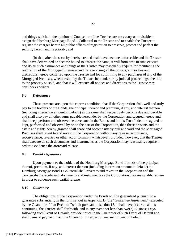and things which, in the opinion of Counsel or of the Trustee, are necessary or advisable to assign the Homburg Mortgage Bond 1 Collateral to the Trustee and to enable the Trustee to register the charges herein all public offices of registration to preserve, protect and perfect the security herein and its priority; and

 (b) that, after the security hereby created shall have become enforceable and the Trustee shall have determined or become bound to enforce the same, it will from time to time execute and do all such assurances and things as the Trustee may reasonably require for facilitating the realization of the Mortgaged Premises and for exercising all the powers, authorities and discretions hereby conferred upon the Trustee and for confirming to any purchaser of any of the Mortgaged Premises, whether sold by the Trustee hereunder or by judicial proceedings, the title to the property so sold, and that it will execute all notices and directions as the Trustee may consider expedient.

## **8.8** *Defeasance*

 These presents are upon this express condition, that if the Corporation shall well and truly pay to the holders of the Bonds, the principal thereof and premium, if any, and interest thereon (including interest on amount in default) as the same shall respectively become due and payable and shall also pay all other sums payable hereunder by the Corporation and secured hereby and shall keep, perform and observe the covenants in the Bonds and in this Trust Indenture agreed to kept, performed and observed by or on the part of the Corporation, then these presents and the estate and rights hereby granted shall cease and become utterly null and void and the Mortgaged Premises shall revert to and revest in the Corporation without any release, acquittance, reconveyance, re-entry or other act or formality whatsoever; provided, however, that the Trustee shall execute all such documents and instruments as the Corporation may reasonably require in order to evidence the aforesaid release.

## **8.9** *Partial Defeasance*

Upon payment to the holders of the Homburg Mortgage Bond 1 bonds of the principal thereof, premium, if any, and interest thereon (including interest on amount in default) the Homburg Mortgage Bond 1 Collateral shall revert to and revest in the Corporation and the Trustee shall execute such documents and instruments as the Corporation may reasonably require in order to evidence such partial release.

## **8.10** *Guarantee*

The obligations of the Corporation under the Bonds will be guaranteed pursuant to a guarantee substantially in the form set out in Appendix D (the "Guarantee Agreement") executed by the Guarantor. If an Event of Default pursuant to section 13.1 shall have occurred and is continuing, the Trustee shall forthwith, and in any event not less than two(2) Business Days following such Event of Default, provide notice to the Guarantor of such Event of Default and shall demand payment from the Guarantor in respect of any such Event of Default.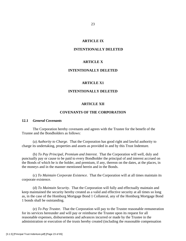## **ARTICLE IX**

#### **INTENTIONALLY DELETED**

## **ARTICLE X**

## **INTENTIONALLY DELETED**

#### **ARTICLE X1**

#### **INTENTIONALLY DELETED**

#### **ARTICLE XII**

## **COVENANTS OF THE CORPORATION**

## **12.1** *General Covenants*

 The Corporation hereby covenants and agrees with the Trustee for the benefit of the Trustee and the Bondholders as follows:

 (a) *Authority to Charge*. That the Corporation has good right and lawful authority to charge its undertaking, properties and assets as provided in and by this Trust Indenture.

 (b) *To Pay Principal, Premium and Interest*. That the Corporation will well, duly and punctually pay or cause to be paid to every Bondholder the principal of and interest accrued on the Bonds of which he is the holder, and premium, if any, thereon on the dates, at the places, in the moneys and in the manner mentioned herein and in the Bonds.

 (c) *To Maintain Corporate Existence*. That the Corporation will at all times maintain its corporate existence.

 (d) *To Maintain Security*. That the Corporation will fully and effectually maintain and keep maintained the security hereby created as a valid and effective security at all times so long as, in the case of the Homburg Mortgage Bond 1 Collateral, any of the Homburg Mortgage Bond 1 bonds shall be outstanding.

 (e) *To Pay Trustee*. That the Corporation will pay to the Trustee reasonable remuneration for its services hereunder and will pay or reimburse the Trustee upon its request for all reasonable expenses, disbursements and advances incurred or made by the Trustee in the administration or execution of the trusts hereby created (including the reasonable compensation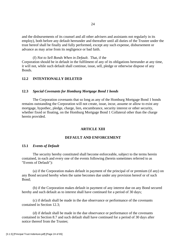and the disbursements of its counsel and all other advisers and assistants not regularly in its employ), both before any default hereunder and thereafter until all duties of the Trustee under the trust hereof shall be finally and fully performed, except any such expense, disbursement or advance as may arise from its negligence or bad faith.

(f) *Not to Sell Bonds When in Default*. That, if the Corporation should be in default in the fulfilment of any of its obligations hereunder at any time, it will not, while such default shall continue, issue, sell, pledge or otherwise dispose of any Bonds.

## **12.2 INTENTIONALLY DELETED**

## **12.3** *Special Covenants for Homburg Mortgage Bond 1 bonds*

The Corporation covenants that so long as any of the Homburg Mortgage Bond 1 bonds remains outstanding the Corporation will not create, issue, incur, assume or allow to exist any mortgage, hypothec, pledge, charge, lien, encumbrance, security interest or other security, whether fixed or floating, on the Homburg Mortgage Bond 1 Collateral other than the charge herein provided.

#### **ARTICLE XIII**

#### **DEFAULT AND ENFORCEMENT**

#### **13.1** *Events of Default*

The security hereby constituted shall become enforceable, subject to the terms herein contained, in each and every one of the events following (herein sometimes referred to as "Events of Default"):

(a) if the Corporation makes default in payment of the principal of or premium (if any) on any Bond secured hereby when the same becomes due under any provision hereof or of such Bond;

(b) if the Corporation makes default in payment of any interest due on any Bond secured hereby and such default as to interest shall have continued for a period of 30 days;

(c) if default shall be made in the due observance or performance of the covenants contained in Section 12.3;

(d) if default shall be made in the due observance or performance of the covenants contained in Section 8.7 and such default shall have continued for a period of 30 days after notice thereof from the Trustee;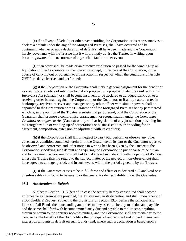(e) if an Event of Default, or other event entitling the Corporation or its representatives to declare a default under the any of the Mortgaged Premises, shall have occurred and be continuing whether or not a declaration of default shall have been made and the Corporation hereby covenants with the Trustee that it will promptly advise the Trustee in writing upon becoming aware of the occurrence of any such default or other event;

(f) if an order shall be made or an effective resolution be passed for the winding-up or liquidation of the Corporation or the Guarantor except, in the case of the Corporation, in the course of carrying out or pursuant to a transaction in respect of which the conditions of Article XVIII are duly observed and performed;

(g) if the Corporation or the Guarantor shall make a general assignment for the benefit of its creditors or a notice of intention to make a proposal or a proposal under the *Bankruptcy and Insolvency Act* (Canada), or shall become insolvent or be declared or adjudged bankrupt, or a receiving order be made against the Corporation or the Guarantor, or if a liquidator, trustee in bankruptcy, receiver, receiver and manager or any other officer with similar powers shall be appointed to the Corporation or the Guarantor or of the Mortgaged Premises or any part thereof which is, in the opinion of the Trustee, a substantial part thereof, or if the Corporation or the Guarantor shall propose a compromise, arrangement or reorganization under the *Companies' Creditors Arrangement Act* (Canada) or any similar legislation of any jurisdiction providing for the reorganization or winding-up of corporations or business entities or providing for an agreement, composition, extension or adjustment with its creditors;

(h) if the Corporation shall fail or neglect to carry out, perform or observe any other covenant or condition contained herein or in the Guarantee on its part or the Guarantor's part to be observed and performed and, after notice in writing has been given by the Trustee to the Corporation specifying such default and requiring the Corporation to put or cause to be put an end to the same, the Corporation shall fail to make good such default within a period of 45 days, unless the Trustee (having regard to the subject matter of the neglect or non-observance) shall have agreed to a longer period, and in such event, within the period agreed to by the Trustee;

(i) if the Guarantee ceases to be in full force and effect or is declared null and void or is unenforceable or is found to be invalid or the Guarantor denies liability under the Guarantee.

#### **13.2** *Acceleration on Default*

Subject to Section 13.17 hereof, in case the security hereby constituted shall become enforceable as hereinbefore provided, the Trustee may in its discretion and shall upon receipt of a Bondholders' Request, subject to the provisions of Section 13.3, declare the principal and interest of all Bonds then outstanding and other moneys secured hereby to be due and payable and the same shall forthwith become immediately due and payable to the Trustee, anything therein or herein to the contrary notwithstanding, and the Corporation shall forthwith pay to the Trustee for the benefit of the Bondholders the principal of and accrued and unpaid interest and interest on amounts in default on such Bonds (and, where such a declaration is based upon a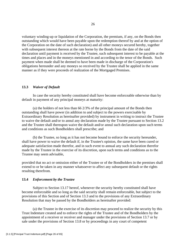voluntary winding-up or liquidation of the Corporation, the premium, if any, on the Bonds then outstanding which would have been payable upon the redemption thereof by and at the option of the Corporation on the date of such declaration) and all other moneys secured hereby, together with subsequent interest thereon at the rate borne by the Bonds from the date of the said declaration until payment is received by the Trustee, such subsequent interest to be payable at the times and places and in the moneys mentioned in and according to the tenor of the Bonds. Such payment when made shall be deemed to have been made in discharge of the Corporation's obligations hereunder and any moneys so received by the Trustee shall be applied in the same manner as if they were proceeds of realization of the Mortgaged Premises.

## **13.3** *Waiver of Default*

In case the security hereby constituted shall have become enforceable otherwise than by default in payment of any principal moneys at maturity:

(a) the holders of not less than 66 2/3% of the principal amount of the Bonds then outstanding shall have power (in addition to and subject to the powers exercisable by Extraordinary Resolution as hereinafter provided) by instrument in writing to instruct the Trustee to waive the default and/or to annul any declaration made by the Trustee pursuant to Section 13.2 and the Trustee shall thereupon waive the default and/or annul such declaration upon such terms and conditions as such Bondholders shall prescribe; and

(b) the Trustee, so long as it has not become bound to enforce the security hereunder, shall have power to waive the default if, in the Trustee's opinion, the same have been cured or adequate satisfaction made therefor, and in such event to annual any such declaration therefor made by the Trustee in the exercise of its discretion, upon such terms and conditions as to the Trustee may seem advisable,

provided that no act or omission either of the Trustee or of the Bondholders in the premises shall extend to or be taken in any manner whatsoever to affect any subsequent default or the rights resulting therefrom.

#### **13.4** *Enforcement by the Trustee*

Subject to Section 13.17 hereof, whenever the security hereby constituted shall have become enforceable and so long as the said security shall remain enforceable, but subject to the provisions of this Section and of Section 13.3 and to the provisions of any Extraordinary Resolution that may be passed by the Bondholders as hereinafter provided:

(a) the Trustee in the exercise of its discretion may proceed to realize the security by this Trust Indenture created and to enforce the rights of the Trustee and of the Bondholders by the appointment of a receiver or receiver and manager under the provisions of Section 13.7 or by sale under the provisions of Section 13.8 or by proceedings in any court of competent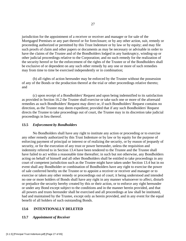jurisdiction for the appointment of a receiver or receiver and manager or for sale of the Mortgaged Premises or any part thereof or for foreclosure; or by any other action, suit, remedy or proceeding authorized or permitted by this Trust Indenture or by law or by equity; and may file such proofs of claim and other papers or documents as may be necessary or advisable in order to have the claims of the Trustee and of the Bondholders lodged in any bankruptcy, winding-up or other judicial proceedings relative to the Corporation; and no such remedy for the realization of the security hereof or for the enforcement of the rights of the Trustee or of the Bondholders shall be exclusive of or dependent on any such other remedy by any one or more of such remedies may from time to time be exercised independently or in combination;

(b) all rights of action hereunder may be enforced by the Trustee without the possession of any of the Bonds or the production thereof at the trial or other proceedings relative thereto; and

(c) upon receipt of a Bondholders' Request and upon being indemnified to its satisfaction as provided in Section 16.2 the Trustee shall exercise or take such one or more of the aforesaid remedies as such Bondholders' Request may direct or, if such Bondholders' Request contains no direction, as the Trustee may deem expedient; provided that if any such Bondholders' Request directs the Trustee to take proceedings out of court, the Trustee may in its discretion take judicial proceedings in lieu thereof.

## **13.5** *Enforcement by Bondholders*

No Bondholders shall have any right to institute any action or proceeding or to exercise any other remedy authorized by this Trust Indenture or by law or by equity for the purpose of enforcing payment of principal or interest or of realizing the security, or by reason of jeopardy of security, or for the execution of any trust or power hereunder, unless the requisition and indemnity referred to in Section 13.4 have been tendered to the Trustee and the Trustee shall have failed to act within a reasonable time thereafter; in such but not otherwise, any Bondholders acting on behalf of himself and all other Bondholders shall be entitled to take proceedings in any court of competent jurisdiction such as the Trustee might have taken under Section 13.4 but in no event shall any Bondholder or combination of Bondholders have any right to exercise the power of sale conferred hereby on the Trustee or to appoint a receiver or receiver and manager or to exercise or taken any other remedy or proceedings out of court; it being understood and intended no one or more holders of Bonds shall have any right in any manner whatsoever to affect, disturb or prejudice the security hereby created by this or their action, or to enforce any right hereunder or under any Bond except subject to the conditions and in the manner herein provided, and that all powers and trusts hereunder shall be exercised and all proceedings at law shall be instituted, had and maintained by the Trustee, except only as herein provided, and in any event for the equal benefit of all holders of such outstanding Bonds.

## **13.6 INTENTIONALLY DELETED**

## **13.7** *Appointment of Receiver*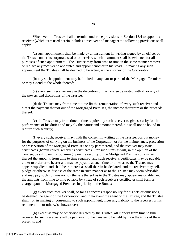Whenever the Trustee shall determine under the provisions of Section 13.4 to appoint a receiver (which term used herein includes a receiver and manager) the following provisions shall apply:

(a) such appointment shall be made by an instrument in writing signed by an officer of the Trustee under its corporate seal or otherwise, which instrument shall be evidence for all purposes of such appointment. The Trustee may from time to time in the same manner remove or replace any receiver so appointed and appoint another in his stead. In making any such appointment the Trustee shall be deemed to be acting as the attorney of the Corporation;

(b) any such appointment may be limited to any part or parts of the Mortgaged Premises or may extend to the whole thereof;

(c) every such receiver may in the discretion of the Trustee be vested with all or any of the powers and discretions of the Trustee;

(d) the Trustee may from time to time fix the remuneration of every such receiver and direct the payment thereof out of the Mortgaged Premises, the income therefrom or the proceeds thereof;

(e) the Trustee may from time to time require any such receiver to give security for the performance of his duties and may fix the nature and amount thereof, but shall not be bound to require such security;

(f) every such, receiver may, with the consent in writing of the Trustee, borrow money for the purposes of carrying on the business of the Corporation or for the maintenance, protection or preservation of the Mortgaged Premises or any part thereof, and the receiver may issue certificates (herein called "receiver's certificates") for such sums as will, in the opinion of the Trustee, be sufficient for obtaining upon the security of the Mortgaged Premises or any part thereof the amounts from time to time required, and such receiver's certificates may be payable either to order or to bearer and may be payable at such time or times as to the Trustee may appear expedient, and shall bear interest as shall therein be declared, and the receiver may sell, pledge or otherwise dispose of the same in such manner as to the Trustee may seem advisable, and may pay such commission on the sale thereof as to the Trustee may appear reasonable, and the amounts from time to time payable by virtue of such receiver's certificates shall form a charge upon the Mortgaged Premises in priority to the Bonds;

(g) every such receiver shall, so far as concerns responsibility for his acts or omissions, be deemed the agent of the Corporation, and in no event the agent of the Trustee, and the Trustee shall not, in making or consenting to such appointment, incur any liability to the receiver for his remuneration or otherwise howsoever;

(h) except as may be otherwise directed by the Trustee, all moneys from time to time received by such receiver shall be paid over to the Trustee to be held by it on the trusts of these presents; and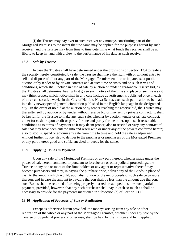(i) the Trustee may pay over to such receiver any moneys constituting part of the Mortgaged Premises to the intent that the same may be applied for the purposes hereof by such receiver, and the Trustee may from time to time determine what funds the receiver shall be at liberty to keep in hand with a view to the performance of his duty as such receiver.

#### **13.8** *Sale by Trustee*

In case the Trustee shall have determined under the provisions of Section 13.4 to realize the security hereby constituted by sale, the Trustee shall have the right with or without entry to sell and dispose of all or any part of the Mortgaged Premises en bloc or in parcels, at public auction or by tender or by private contract and at such time or times and on such terms and conditions, which shall include in case of sale by auction or tender a reasonable reserve bid, as the Trustee shall determine, having first given such notice of the time and place of such sale as it may think proper, which notice shall in any case include advertisements published once in each of three consecutive weeks in the City of Halifax, Nova Scotia, each such publication to be made in a daily newspaper of general circulation published in the English language in the designated city. In the event of no bid at the auction or by tender reaching the reserve bid, the Trustee may thereafter sell by auction or by tender without reserve bid or may sell by private contract. It shall be lawful for the Trustee to make any such sale, whether by auction, tender or private contract, either for cash or upon credit or partly for one and partly for the other, upon such reasonable conditions as to terms of payment as it may deem proper; also to rescind or vary any contract of sale that may have been entered into and resell with or under any of the powers conferred herein; also to stop, suspend or adjourn any sale from time to time and hold the sale as adjourned without further notice; also to deliver to the purchaser or purchasers of the Mortgaged Premises or any part thereof good and sufficient deed or deeds for the same.

#### **13.9** *Applying Bonds in Payment*

 Upon any sale of the Mortgaged Premises or any part thereof, whether made under the power of sale herein contained or pursuant to foreclosure or other judicial proceedings, the Trustee or any one or more of the Bondholders or any agent or representative thereof may become purchasers and may, in paying the purchase price, deliver any of the Bonds in place of cash to the amount which would, upon distribution of the net proceeds of such sale be payable thereon; and in case the amount to payable thereon shall be less than the amount due thereon, such Bonds shall be returned after being properly marked or stamped to show such partial payment; provided, however, that any such purchaser shall pay in cash so much as shall be necessary to provide for the payments mentioned in subsection (a) of Section 13.10.

#### **13.10** *Application of Proceeds of Sale or Realization*

 Except as otherwise herein provided, the moneys arising from any sale or other realization of the whole or any part of the Mortgaged Premises, whether under any sale by the Trustee or by judicial process or otherwise, shall be held by the Trustee and by it applied,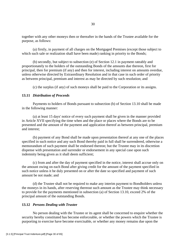together with any other moneys then or thereafter in the hands of the Trustee available for the purpose, as follows:

 (a) firstly, in payment of all charges on the Mortgaged Premises (except those subject to which such sale or realization shall have been made) ranking in priority to the Bonds;

 (b) secondly, but subject to subsection (e) of Section 12.1 in payment rateably and proportionately to the holders of the outstanding Bonds of the amounts due thereon, first for principal, then for premium (if any) and then for interest, including interest on amounts overdue, unless otherwise directed by Extraordinary Resolution and in that case in such order of priority as between principal, premium and interest as may be directed by such resolution; and

(c) the surplus (if any) of such moneys shall be paid to the Corporation or its assigns.

#### **13.11** *Distribution of Proceeds*

 Payments to holders of Bonds pursuant to subsection (b) of Section 13.10 shall be made in the following manner:

 (a) at least 15 days' notice of every such payment shall be given in the manner provided in Article XVII specifying the time when and the place or places where the Bonds are to be presented and the amount of the payment and application thereof as between principal, premium and interest;

 (b) payment of any Bond shall be made upon presentation thereof at any one of the places specified in such notice and any such Bond thereby paid in full shall be surrendered, otherwise a memorandum of such payment shall be endorsed thereon; but the Trustee may in its discretion dispense with presentation and surrender or endorsement in any special case upon such indemnity being given as it shall deem sufficient;

 (c) from and after the day of payment specified in the notice, interest shall accrue only on the amount owing on each Bond after giving credit for the amount of the payment specified in such notice unless it be duly presented on or after the date so specified and payment of such amount be not made; and

 (d) the Trustee shall not be required to make any interim payment to Bondholders unless the moneys in its hands, after reserving thereout such amount as the Trustee may think necessary to provide for the payments mentioned in subsection (a) of Section 13.10, exceed 2% of the principal amount of the outstanding Bonds.

#### **13.12** *Persons Dealing with Trustee*

 No person dealing with the Trustee or its agent shall be concerned to enquire whether the security hereby constituted has become enforceable, or whether the powers which the Trustee is purporting to exercise have become exercisable, or whether any money remains due upon the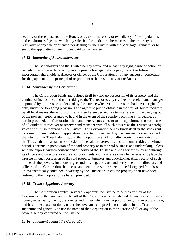security of these presents or the Bonds, or as to the necessity or expediency of the stipulations and conditions subject to which any sale shall be made, or otherwise as to the propriety or regularity of any sale or of any other dealing by the Trustee with the Mortgage Premises, or to see to the application of any money paid to the Trustee.

#### **13.13** *Immunity of Shareholders, etc,*

 The Bondholders and the Trustee hereby waive and release any right, cause of action or remedy now or hereafter existing in any jurisdiction against any past, present or future incorporator shareholders, director or officer of the Corporation or of any successor corporation for the payment of the principal of or premium or interest on any of the Bonds.

## **13.14** *Surrender by the Corporation*

 The Corporation bends and obliges itself to yield up possession of its property and the conduct of its business and undertaking to the Trustee or to any receiver or receiver and manager appointed by the Trustee on demand by the Trustee whenever the Trustee shall have a right of entry under the foregoing provisions and agrees to put no obstacle in the way of, but to facilitate by all legal means, the actions of the Trustee hereunder and not to interfere with the carrying out of the powers hereby granted to it, and in the event of the security becoming enforceable, as herein provided, the Corporation shall and hereby does consent to the appointment in such case of a liquidator or receiver or receiver and manager with all such powers as the Trustee is hereby vested with, if so required by the Trustee. The Corporation hereby binds itself in the said event to consent to any petition or application presented to the Court by the Trustee in order to effect the intent of this Trust Indenture, and the Corporation shall not, after receiving due notice from the Trustee that it has taken possession of the said property, business and undertaking by virtue hereof, continue in possession of the said property or in the said business and undertaking unless with the express written consent and authority of the Trustee and shall forthwith, by and through its officers and directors, execute such documents and transfers as may be necessary to place the Trustee in legal possession of the said property, business and undertaking. After receipt of such notice, all the powers, functions, rights and privileges of each and every one of the directors and officers of the Corporation shall cease and determine with respect to the Mortgaged Premises unless specifically contained in writing by the Trustee or unless the property shall have been restored to the Corporation as herein provided.

#### **13.15** *Trustee Appointed Attorney*

 The Corporation hereby irrevocably appoints the Trustee to be the attorney of the Corporation in the name and on behalf of the Corporation to execute and do any deeds, transfers, conveyances, assignments, assurances and things which the Corporation ought to execute and do, and has not executed or done, under the covenants and provision contained in this Trust Indenture and generally to use the name of the Corporation in the exercise of all or any of the powers hereby conferred on the Trustee.

#### **13.16** *Judgment against the Corporation*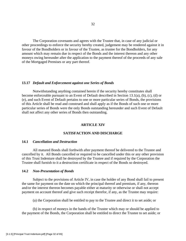The Corporation covenants and agrees with the Trustee that, in case of any judicial or other proceedings to enforce the security hereby created, judgement may be rendered against it in favour of the Bondholders or in favour of the Trustee, as trustee for the Bondholders, for any amount which may remain due in respect of the Bonds and the interest thereon and any other moneys owing hereunder after the application to the payment thereof of the proceeds of any sale of the Mortgaged Premises or any part thereof.

## **13.17** *Default and Enforcement against one Series of Bonds*

Notwithstanding anything contained herein if the security hereby constitutes shall become enforceable pursuant to an Event of Default described in Section 13.1(a), (b), (c), (d) or (e), and such Event of Default pertains to one or more particular series of Bonds, the provisions of this Article shall be read and construed and shall apply as if the Bonds of such one or more particular series of Bonds were the only Bonds outstanding hereunder and such Event of Default shall not affect any other series of Bonds then outstanding.

#### **ARTICLE XIV**

## **SATISFACTION AND DISCHARGE**

#### **14.1** *Cancellation and Destruction*

 All matured Bonds shall forthwith after payment thereof be delivered to the Trustee and cancelled by it. All Bonds cancelled or required to be cancelled under this or any other provision of this Trust Indenture shall be destroyed by the Trustee and if required by the Corporation the Trustee shall furnish to it a destruction certificate in respect of the Bonds so destroyed.

#### **14.2** *Non-Presentation of Bonds*

 Subject to the provisions of Article IV, in case the holder of any Bond shall fail to present the same for payment on the date on which the principal thereof and premium, if any, thereon and/or the interest thereon becomes payable either at maturity or otherwise or shall not accept payment on account thereof and give such receipt therefor, if any, as the Trustee may require:

(a) the Corporation shall be entitled to pay to the Trustee and direct it to set aside; or

 (b) in respect of moneys in the hands of the Trustee which may or should be applied to the payment of the Bonds, the Corporation shall be entitled to direct the Trustee to set aside; or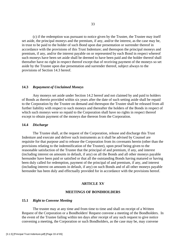(c) if the redemption was pursuant to notice given by the Trustee, the Trustee may itself set aside, the principal moneys and the premium, if any, and/or the interest, as the case may be, in trust to be paid to the holder of such Bond upon due presentation or surrender thereof in accordance with the provisions of this Trust Indenture; and thereupon the principal moneys and premium, if any, and/or the interest payable on or represented by each Bond in respect whereof such moneys have been set aside shall be deemed to have been paid and the holder thereof shall thereafter have no right in respect thereof except that of receiving payment of the moneys so set aside by the Trustee upon due presentation and surrender thereof, subject always to the provisions of Section 14.3 hereof.

#### **14.3** *Repayment of Unclaimed Moneys*

 Any moneys set aside under Section 14.2 hereof and not claimed by and paid to holders of Bonds as therein provided within six years after the date of such setting aside shall be repaid to the Corporation by the Trustee on demand and thereupon the Trustee shall be released from all further liability with respect to such moneys and thereafter the holders of the Bonds in respect of which such moneys were so repaid to the Corporation shall have no rights in respect thereof except to obtain payment of the moneys due thereon from the Corporation.

#### **14.4** *Discharge*

 The Trustee shall, at the request of the Corporation, release and discharge this Trust Indenture and execute and deliver such instruments as it shall be advised by Counsel are requisite for that purpose and to release the Corporation from its covenants herein (other than the provisions relating to the indemnification of the Trustee), upon proof being given to the reasonable satisfaction of the Trustee that the principal of and premium, if any, and interest (including interest on amounts in default, if any) on all the Bonds and all other moneys payable hereunder have been paid or satisfied or that all the outstanding Bonds having matured or having been duly called for redemption, payment of the principal of and premium, if any, and interest (including interest on amounts in default, if any) on such Bonds and of all other moneys payable hereunder has been duly and effectually provided for in accordance with the provisions hereof.

#### **ARTICLE XV**

#### **MEETINGS OF BONDHOLDERS**

#### **15.1** *Right to Convene Meeting*

 The trustee may at any time and from time to time and shall on receipt of a Written Request of the Corporation or a Bondholders' Request convene a meeting of the Bondholders. In the event of the Trustee failing within ten days after receipt of any such request to give notice convening a meeting, the Corporation or such Bondholders, as the case may be, may convene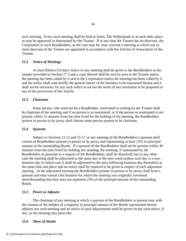such meeting. Every such meeting shall be held at Soest, The Netherlands or at such other place as may be approved or determined by the Trustee. If at any time the Trustee has no directors, the Corporation or such Bondholders, as the case may be, may convene a meeting at which one or more directors of the Trustee are appointed in accordance with the Articles of Association of the Trustee.

#### **15.2** *Notice of Meetings*

 At least fifteen (15) days' notice of any meeting shall be given to the Bondholders in the manner provided in Section 17.3 and a copy thereof shall be sent by post to the Trustee unless the meeting has been called by it and to the Corporation unless the meeting has been called by it and the notice shall state briefly the general nature of the business to be transacted thereat and it shall not be necessary for any such notice to set out the terms of any resolution to be proposed or any of the provisions of this Article.

#### **15.3** *Chairman*

 Some person, who need not be a Bondholder, nominated in writing by the Trustee shall be chairman of the meeting and if no person is so nominated, or if the person so nominated is not present within 15 minutes from the time fixed for the holding of the meeting, the Bondholders present in person or by proxy shall choose some person present to be chairman.

#### **15.4** *Quorum*

 Subject to Sections 15.12 and 15.17, at any meeting of the Bondholders a quorum shall consist of Bondholders present in person or by proxy and representing at least 25% in principal amount of the outstanding Bonds. If a quorum of the Bondholders shall not be present within 30 minutes from the time fixed for holding any meeting, the meeting, if summoned by the Bondholders or pursuant to a request of the Bondholders, shall be dissolved; but in any other case the meeting shall be adjourned to the same day in the next week (unless such day is a nonbusiness day in which case it shall be adjourned to the next following business day thereafter) at the same time and place and no notice shall be required to be given in respect of such adjourned meeting. At the adjourned meeting the Bondholders present in person or by proxy shall form a quorum and may transact the business for which the meeting was originally convened notwithstanding that they may not represent 25% of the principal amount of the outstanding Bonds.

#### **15.5** *Power to Adjourn*

 The chairman of any meeting at which a quorum of the Bondholders is present may with the consent of the holders of a majority in principal amount of the Bonds represented thereat adjourn any such meeting and no notice of such adjournment need be given except such notice, if any, as the meeting may prescribe.

#### **15.6** *Show of Hands*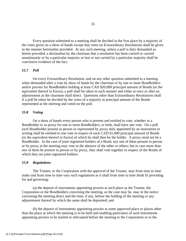Every question submitted to a meeting shall be decided in the first place by a majority of the votes given on a show of hands except that votes on Extraordinary Resolutions shall be given in the manner hereinafter provided. At any such meeting, unless a poll is duly demanded as herein provided, a declaration by the chairman that a resolution has been carried or carried unanimously or by a particular majority or lost or not carried by a particular majority shall be conclusive evidence of the fact.

## **15.7** *Poll*

 On every Extraordinary Resolution, and on any other question submitted to a meeting when demanded after a vote by show of hands by the chairman or by one or more Bondholders and/or proxies for Bondholders holding at least CAD \$20,000 principal amount of Bonds (or the equivalent thereof in Euros), a poll shall be taken in such manner and either at once or after an adjournment as the chairman shall direct. Questions other than Extraordinary Resolutions shall if a poll be taken be decided by the votes of a majority in principal amount of the Bonds represented at the meeting and voted on the poll.

## **15.8** *Voting*

 On a show of hands every person who is present and entitled to vote, whether as a Bondholder or as proxy for one or more Bondholders, or both, shall have one vote. On a poll each Bondholder present in person or represented by proxy duly appointed by an instrument in writing shall be entitled to one vote in respect of each CAD \$1,000 principal amount of Bonds (or the equivalent thereof in Euros) of which he shall then be the holder. A proxy need not be a Bondholder. In the case of joint registered holders of a Bond, any one of them present in person or by proxy at the meeting may vote in the absence of the other or others; but in case more than one of them be present in person or by proxy, they shall vote together in respect of the Bonds of which they are joint registered holders.

#### **15.9** *Regulations*

 The Trustee, or the Corporation with the approval of the Trustee, may from time to time make and from time to time vary such regulations as it shall from time to time think fit providing for and governing:

 (a) the deposit of instruments appointing proxies at such place as the Trustee, the Corporation or the Bondholders convening the meeting, as the case may be, may in the notice convening the meeting direct and the time, if any, before the holding of the meeting or any adjournment thereof by which the same shall be deposited; and

 (b) the deposit of instruments appointing proxies at some approved place or places other than the place at which the meeting is to be held and enabling particulars of such instruments appointing proxies to be mailed or telecopied before the meeting to the Corporation or to the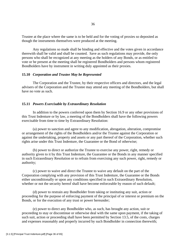Trustee at the place where the same is to be held and for the voting of proxies so deposited as though the instruments themselves were produced at the meeting.

 Any regulations so made shall be binding and effective and the votes given in accordance therewith shall be valid and shall be counted. Save as such regulations may provide, the only persons who shall be recognized at any meeting as the holders of any Bonds, or as entitled to vote or be present at the meeting shall be registered Bondholders and persons whom registered Bondholders have by instrument in writing duly appointed as their proxies.

#### **15.10** *Corporation and Trustee May be Represented*

 The Corporation and the Trustee, by their respective officers and directors, and the legal advisers of the Corporation and the Trustee may attend any meeting of the Bondholders, but shall have no vote as such.

#### **15.11** *Powers Exercisable by Extraordinary Resolution*

 In addition to the powers conferred upon them by Section 16.9 or any other provisions of this Trust Indenture or by law, a meeting of the Bondholders shall have the following powers exercisable from time to time by Extraordinary Resolution:

 (a) power to sanction and agree to any modification, abrogation, alteration, compromise or arrangement of the rights of the Bondholders and/or the Trustee against the Corporation or against the undertaking, property and assets or any part thereof of the Corporation, whether such rights arise under this Trust Indenture, the Guarantee or the Bond of otherwise;

(b) power to direct or authorize the Trustee to exercise any power, right, remedy or authority given to it by this Trust Indenture, the Guarantee or the Bonds in any manner specified in such Extraordinary Resolution or to refrain from exercising any such power, right, remedy or authority;

 (c) power to waive and direct the Trustee to waive any default on the part of the Corporation complying with any provision of this Trust Indenture, the Guarantee or the Bonds either unconditionally or upon any conditions specified in such Extraordinary Resolution, whether or not the security hereof shall have become enforceable by reason of such default;

 (d) power to restrain any Bondholder from taking or instituting any suit, action or proceeding for the purpose of enforcing payment of the principal of or interest or premium on the Bonds, or for the execution of any trust or power hereunder;

 (e) power to direct any Bondholder who, as such, has brought any action, suit or proceeding to stay or discontinue or otherwise deal with the same upon payment, if the taking of such suit, action or proceeding shall have been permitted by Section 13.5, of the costs, charges and expenses reasonably and properly incurred by such Bondholder in connection therewith;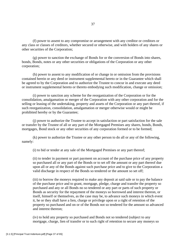(f) power to assent to any compromise or arrangement with any creditor or creditors or any class or classes of creditors, whether secured or otherwise, and with holders of any shares or other securities of the Corporation;

 (g) power to sanction the exchange of Bonds for or the conversion of Bonds into shares, bonds, Bonds, notes or any other securities or obligations of the Corporation or any other corporation;

 (h) power to assent to any modification of or change in or omission from the provisions contained herein or any deed or instrument supplemental hereto or in the Guarantee which shall be agreed to by the Corporation and to authorize the Trustee to concur in and execute any deed or instrument supplemental hereto or thereto embodying such modification, change or omission;

 (i) power to sanction any scheme for the reorganization of the Corporation or for the consolidation, amalgamation or merger of the Corporation with any other corporation and for the selling or leasing of the undertaking, property and assets of the Corporation or any part thereof, if such reorganization, consolidation, amalgamation or merger otherwise would or might be prohibited hereby or by the Guarantee;

 (j) power to authorize the Trustee to accept in satisfaction or part satisfaction for the sale or transfer by the Trustee of all or any part of the Mortgaged Premises any shares, bonds, Bonds, mortgages, Bond stock or any other securities of any corporation formed or to be formed;

 (k) power to authorize the Trustee or any other person to do all or any of the following, namely:

(i) to bid or tender at any sale of the Mortgaged Premises or any part thereof;

(ii) to tender in payment or part payment on account of the purchase price of any property so purchased all or any part of the Bonds or to set off the amount or any part thereof due upon all or any of the Bonds against such purchase price and to give to the Corporation a valid discharge in respect of the Bonds so tendered or the amount so set off;

(iii) to borrow the moneys required to make any deposit at said sale or to pay the balance of the purchase price and to grant, mortgage, pledge, charge and transfer the property so purchased and any or all Bonds no so tendered or any part or parts of such property or Bonds as security for the repayment of the moneys so borrowed and interest thereon, or itself, himself or themselves, as the case may be, to advance such moneys in which event it, he or they shall have a lien, charge or privilege upon or a right of retention of the property so purchased and on or of the Bonds not so tendered for the amount so advanced and interest thereon;

(iv) to hold any property so purchased and Bonds not so tendered (subject to any mortgage, charge, lien of transfer or to such right of retention to secure any moneys so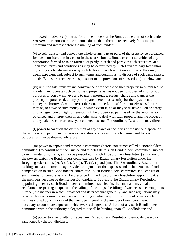borrowed or advanced) in trust for all the holders of the Bonds at the time of such tender *pro rata* in proportion to the amounts due to them thereon respectively for principal, premium and interest before the making of such tender;

(v) to sell, transfer and convey the whole or any part or parts of the property so purchased for such consideration in cash or in the shares, bonds, Bonds or other securities of any corporation formed or to be formed, or partly in cash and partly in such securities, and upon such terms and conditions as may be determined by such Extraordinary Resolution or, failing such determination by such Extraordinary Resolution as it, he or they may deem expedient and, subject to such terms and conditions, to dispose of such cash, shares, bonds, Bonds or other securities pursuant to the provisions of subsection (m) below; and

(vi) until the sale, transfer and conveyance of the whole of such property so purchased, to maintain and operate such part of said property as has not been disposed of and for such purposes to borrow moneys and to grant, mortgage, pledge, charge and transfer the property so purchased, or any part or parts thereof, as security for the repayment of the moneys so borrowed, with interest thereon, or itself, himself or themselves, as the case may be, to advance such moneys, in which event it, he or they shall have a lien or charge or privilege upon or right of retention of the property so purchased for the amounts so advanced and interest thereon and otherwise to deal with such property and the proceeds of any sale, transfer or conveyance thereof as such Extraordinary Resolution may direct;

 (l) power to sanction the distribution of any shares or securities or the use or disposal of the whole or any part of such shares or securities or any cash in such manner and for such purposes as may be deemed advisable;

 (m) power to appoint and remove a committee (herein sometimes called a "Bondholders' committee") to consult with the Trustee and to delegate to such Bondholders' committee (subject to such limitations, if any, as may be prescribed in such Extraordinary Resolution) all or any of the powers which the Bondholders could exercise by Extraordinary Resolution under the foregoing subsections (b), (c), (d), (e), (i), (j), (k), (l) and (m). The Extraordinary Resolution making such appointment may provide for payment of the expenses and disbursements of and compensation to such Bondholders' committee. Such Bondholders' committee shall consist of such number of persons as shall be prescribed in the Extraordinary Resolution appointing it, and the members need not be themselves Bondholders. Subject to the Extraordinary Resolution appointing it, every such Bondholders' committee may elect its chairman and may make regulations respecting its quorum, the calling of meetings, the filling of vacancies occurring in its number, the manner in which it may act and its procedure generally; and such regulations may provide that the committee may act at a meeting at which a quorum is present or may act by minutes signed by a majority of the members thereof or the number of members thereof necessary to constitute a quorum, whichever is the greater. All acts of any such Bondholders' committee within the authority delegated to it shall be binding upon all Bondholders; and

 (n) power to amend, alter or repeal any Extraordinary Resolution previously passed or sanctioned by the Bondholders.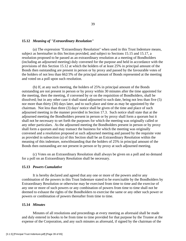#### **15.12** *Meaning of "Extraordinary Resolution"*

 (a) The expression "Extraordinary Resolution" when used in this Trust Indenture means, subject as hereinafter in this Section provided, and subject to Sections 15.15 and 15.17, a resolution proposed to be passed as an extraordinary resolution at a meeting of Bondholders (including an adjourned meeting) duly convened for the purpose and held in accordance with the provisions of this Section 15.12 at which the holders of at least 25% in principal amount of the Bonds then outstanding are present in person or by proxy and passed by the favourable votes of the holders of not less than 662/3% of the principal amount of Bonds represented at the meeting and voted on a poll upon such resolution.

 (b) If, at any such meeting, the holders of 25% in principal amount of the Bonds outstanding are not present in person or by proxy within 30 minutes after the time appointed for the meeting, then the meeting, if convened by or on the requisition of Bondholders, shall be dissolved; but in any other case it shall stand adjourned to such date, being not less than five (5) nor more than thirty (30) days later, and to such place and time as may be appointed by the chairman. Not less than three (3) days' notice shall be given of the time and place of such adjourned meeting in the manner provided in Section 17.3. Such notice shall state that at the adjourned meeting the Bondholders present in person or by proxy shall form a quorum but it shall not be necessary to set forth the purposes for which the meeting was originally called or any other particulars. As the adjourned meeting the Bondholders present in person or by proxy shall form a quorum and may transact the business for which the meeting was originally convened and a resolution proposed at such adjourned meeting and passed by the requisite vote as provided in subsection (a) of this Section shall be an Extraordinary Resolution within the meaning of this indenture, notwithstanding that the holders of 25% in principal amount of the Bonds then outstanding are not present in person or by proxy at such adjourned meeting.

 (c) Votes on an Extraordinary Resolution shall always be given on a poll and no demand for a poll on an Extraordinary Resolution shall be necessary.

#### **15.13** *Powers Cumulative*

 It is hereby declared and agreed that any one or more of the powers and/or any combination of the powers in this Trust Indenture stated to be exercisable by the Bondholders by Extraordinary Resolution or otherwise may be exercised from time to time and the exercise of any one or more of such powers or any combination of powers from time to time shall not be deemed to exhaust the rights of the Bondholders to exercise the same or any other such power or powers or combination of powers thereafter from time to time.

## **15.14** *Minutes*

 Minutes of all resolutions and proceedings at every meeting as aforesaid shall be made and duly entered in books to be from time to time provided for that purpose by the Trustee at the expense of the Corporation, and any such minutes as aforesaid, if signed by the chairman of the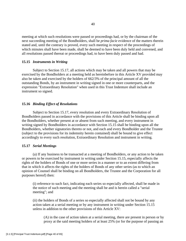meeting at which such resolutions were passed or proceedings had, or by the chairman of the next succeeding meeting of the Bondholders, shall be *prima facie* evidence of the matters therein stated and, until the contrary is proved, every such meeting in respect of the proceedings of which minutes shall have been made, shall be deemed to have been duly held and convened, and all resolutions passed thereat or proceedings had, to have been duly passed and had.

#### **15.15** *Instruments in Writing*

 Subject to Section 15.17, all actions which may be taken and all powers that may be exercised by the Bondholders at a meeting held as hereinbefore in this Article XV provided may also be taken and exercised by the holders of 662/3% of the principal amount of all the outstanding Bonds, by an instrument in writing signed in one or more counterparts, and the expression "Extraordinary Resolution" when used in this Trust Indenture shall include an instrument so signed.

## **15.16** *Binding Effect of Resolutions*

 Subject to Section 15.17, every resolution and every Extraordinary Resolution of Bondholders passed in accordance with the provisions of this Article shall be binding upon all the Bondholders, whether present at or absent from such meeting, and every instrument in writing signed by Bondholders in accordance with Section 15.15 shall be binding upon all the Bondholders, whether signatories thereto or not, and each and every Bondholder and the Trustee (subject to the provisions for its indemnity herein contained) shall be bound to give effect accordingly to every such resolution, Extraordinary Resolution and instrument in writing.

#### **15.17** *Serial Meetings*

 (a) If any business to be transacted at a meeting of Bondholders, or any action to be taken or powers to be exercised by instrument in writing under Section 15.15, especially affects the rights of the holders of Bonds of one or more series in a manner or to an extent differing from that in which it affects the rights of the holders of Bonds of any other series (as to which an opinion of Counsel shall be binding on all Bondholders, the Trustee and the Corporation for all purposes hereof) then:

(i) reference to such fact, indicating each series so especially affected, shall be made in the notice of such meeting and the meeting shall be and is herein called a "serial meeting"; and

(ii) the holders of Bonds of a series so especially affected shall not be bound by any action taken at a serial meeting or by any instrument in writing under Section 15.15 unless in addition to the other provisions of this Article XV:

(A) in the case of action taken at a serial meeting, there are present in person or by proxy at the said meeting holders of at least 25% (or for the purpose of passing an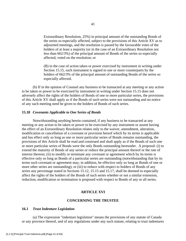Extraordinary Resolution, 25%) in principal amount of the outstanding Bonds of the series so especially affected, subject to the provisions of this Article XV as to adjourned meetings, and the resolution is passed by the favourable votes of the holders of at least a majority (or in the case of an Extraordinary Resolution not less than 662/3%) of the principal amount of Bonds of the series so especially affected, voted on the resolution; or

(B) in the case of action taken or power exercised by instrument in writing under Section 15.15, such instrument is signed in one or more counterparts by the holders of 662/3% of the principal amount of outstanding Bonds of the series so especially affected.

 (b) If in the opinion of Counsel any business to be transacted at any meeting or any action to be taken or power to be exercised by instrument in writing under Section 15.15 does not adversely affect the rights of the holders of Bonds of one or more particular series, the provisions of this Article XV shall apply as if the Bonds of such series were not outstanding and no notice of any such meeting need be given to the holders of Bonds of such series.

#### **15.18** *Covenants Applicable to One Series of Bonds*

 Notwithstanding anything herein contained, if any business to be transacted at any meeting or any action to be taken or power to be exercised by any instrument or assent having the effect of an Extraordinary Resolution relates only to the waiver, amendment, alteration, modification or cancellation of a covenant or provision hereof which by its terms is applicable and has effect only so long as one or more particular series of Bonds remains outstanding, the provisions of this Article shall be read and construed and shall apply as if the Bonds of such one or more particular series of Bonds were the only Bonds outstanding hereunder. A proposal: (i) to extend the maturity of Bonds of any series or reduce the principal amount thereof or the rate of interest thereon; (ii) to modify or terminate any covenant or agreement which by its terms is effective only so long as Bonds of a particular series are outstanding (notwithstanding that by its terms such covenant or agreement may, in addition, be effective only so long as Bonds of one or more other series are outstanding); or (iii) to reduce with respect to holders of Bonds of any series any percentage stated in Sections 15.12, 15.15 and 15.17, shall be deemed to especially affect the rights of the holders of the Bonds of such series whether or not a similar extension, reduction, modification or termination is proposed with respect to Bonds of any or all series.

#### **ARTICLE XVI**

#### **CONCERNING THE TRUSTEE**

#### **16.1** *Trust Indenture Legislation*

 (a) The expression "indenture legislation" means the provisions of any statute of Canada or any province thereof, and of any regulations under any such statute, relating to trust indentures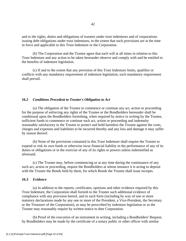and to the rights, duties and obligations of trustees under trust indentures and of corporations issuing debt obligations under trust indentures, to the extent that such provisions are at the time in force and applicable to this Trust Indenture or the Corporation.

 (b) The Corporation and the Trustee agree that each will at all times in relation to this Trust Indenture and any action to be taken hereunder observe and comply with and be entitled to the benefits of indenture legislation.

 (c) If and to the extent that any provision of this Trust Indenture limits, qualifies or conflicts with any mandatory requirement of indenture legislation, such mandatory requirement shall prevail.

#### **16.2** *Conditions Precedent to Trustee's Obligation to Act*

 (a) The obligation of the Trustee to commence or continue any act, action or proceeding for the purpose of enforcing any rights of the Trustee or the Bondholders hereunder shall be conditional upon the Bondholders furnishing, when required by notice in writing by the Trustee, sufficient funds to commence or continue such act, action or proceeding and indemnity reasonably satisfactory to the Trustee to protect and hold harmless the Trustee against the costs, charges and expenses and liabilities to be incurred thereby and any loss and damage it may suffer by reason thereof.

 (b) None of the provisions contained in this Trust Indenture shall require the Trustee to expend or risk its own funds or otherwise incur financial liability in the performance of any of its duties or obligations or in the exercise of any of its rights or powers unless indemnified as aforesaid.

 (c) The Trustee may, before commencing or at any time during the continuance of any such act, action or proceeding, require the Bondholders at whose instance it is acting to deposit with the Trustee the Bonds held by them, for which Bonds the Trustee shall issue receipts.

## **16.3** *Evidence*

 (a) In addition to the reports, certificates, opinions and other evidence required by this Trust Indenture, the Corporation shall furnish to the Trustee such additional evidence of compliance with any provision hereof, and in such form (including by way of one or more statutory declarations made by any one or more of the President, a Vice-President, the Secretary or the Treasurer of the Corporation), as may be prescribed by indenture legislation or as the Trustee may reasonably require by written notice to thee Corporation.

 (b) Proof of the execution of an instrument in writing, including a Bondholders' Request, by Bondholders may be made by the certificate of a notary public or other officer with similar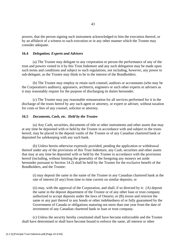powers, that the person signing such instrument acknowledged to him the execution thereof, or by an affidavit of a witness to such execution or in any other manner which the Trustee may consider adequate.

#### **16.4** *Delegation; Experts and Advisers*

 (a) The Trustee may delegate to any corporation or person the performance of any of the trust and powers vested in it by this Trust Indenture and any such delegation may be made upon such terms and conditions and subject to such regulations, not including, however, any power to sub-delegate, as the Trustee may think to be in the interest of the Bondholders.

 (b) The Trustee may employ or retain such counsel, auditors or accountants (who may be the Corporation's auditors), appraisers, architects, engineers or such other experts or advisers as it may reasonably require for the purpose of discharging its duties hereunder.

 (c) The Trustee may pay reasonable remuneration for all services performed for it in the discharge of the trusts hereof by any such agent or attorney, or expert or adviser, without taxation for costs or fees of any counsel, solicitor or attorney.

#### **16.5** *Documents, Cash, etc. Held by the Trustee*

 (a) Any Cash, securities, documents of title or other instruments and other assets that may at any time be deposited with or held by the Trustee in accordance with and subject to the trusts hereof, may be placed in the deposit vaults of the Trustee or of any Canadian chartered bank or deposited for safekeeping with any such bank.

 (b) Unless herein otherwise expressly provided, pending the application or withdrawal thereof under any of the provisions of this Trust Indenture, any Cash, securities and other assets that may at any time be deposited with or held by the Trustee in accordance with the provisions hereof (including, without limiting the generality of the foregoing any moneys set aside hereunder pursuant to Section 14.2) shall be held by the Trustee for the exclusive benefit of the Bondholders, and the Trustee:

(i) may deposit the same in the name of the Trustee in any Canadian chartered bank at the rate of interest (if any) from time to time current on similar deposits; or

(ii) may, with the approval of the Corporation, and shall, if so directed by it: (A) deposit the same in the deposit department of the Trustee or of any other loan or trust company authorized to accept deposits under the laws of Ontario; or (B) invest and reinvest the same or any part thereof in any bonds or other indebtedness of or fully guaranteed by the Government of Canada or obligations maturing not more than one year from the date of investment of any Canadian chartered bank or loan or trust company.

 (c) Unless the security hereby constituted shall have become enforceable and the Trustee shall have determined or shall have become bound to enforce the same, all interest or other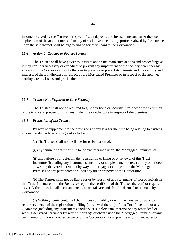income received by the Trustee in respect of such deposits and investments and, after the due application of the amount invested in any of such investments, any profits realized by the Trustee upon the sale thereof shall belong to and be forthwith paid to the Corporation.

#### **16.6** *Action by Trustee to Protect Security*

 The Trustee shall have power to institute and to maintain such actions and proceedings as it may consider necessary or expedient to prevent any impairment of the security hereunder by any acts of the Corporation or of others or to preserve or protect its interests and the security and interests of the Bondholders in respect of the Mortgaged Premises or in respect of the income, earnings, rents, issues and profits thereof.

#### **16.7** *Trustee Not Required to Give Security*

 The Trustee shall not be required to give any bond or security in respect of the execution of the trusts and powers of this Trust Indenture or otherwise in respect of the premises.

#### **16.8** *Protection of the Trustee*

 By way of supplement to the provisions of any law for the time being relating to trustees, it is expressly declared and agreed as follows:

(a) The Trustee shall not be liable for or by reason of:

(i) any failure or defect of title to, or encumbrance upon, the Mortgaged Premises; or

(ii) any failure of or defect in the registration or filing of or renewal of this Trust Indenture (including any instruments ancillary or supplemental thereto) or any other deed or writing delivered hereunder by way of mortgage or charge upon the Mortgaged Premises or any part thereof or upon any other property of the Corporation.

 (b) The Trustee shall not be liable for or by reason of any statements of fact or recitals in this Trust Indenture or in the Bonds (except in the certificate of the Trustee thereon) or required to verify the same, but all such statements or recitals are and shall be deemed to be made by the Corporation.

 (c) Nothing herein contained shall impose any obligation on the Trustee to see or to require evidence of the registration or filing (or renewal thereof) of this Trust Indenture or any Guarantee (including any instruments ancillary or supplemental thereto) or any other deed or writing delivered hereunder by way of mortgage or charge upon the Mortgaged Premises or any part thereof or upon any other property of the Corporation, or to procure any further, other or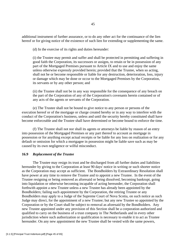additional instrument of further assurance, or to do any other act for the continuance of the lien hereof or for giving notice of the existence of such lien for extending or supplementing the same.

(d) In the exercise of its rights and duties hereunder:

(i) the Trustee may permit and suffer and shall be protected in permitting and suffering in good faith the Corporation, its successors or assigns, to retain or be in possession of any part of the Mortgaged Premises pursuant to Article IX and to use and enjoy the same unless otherwise expressly provided herein; provided that the Trustee, when so acting, shall not be or become responsible or liable for any destruction, deterioration, loss, injury or damage which may be done or occur to the Mortgaged Premises by the Corporation, its servants or by any other person; and

(ii) the Trustee shall not be in any way responsible for the consequence of any breach on the part of the Corporation of any of the Corporation's covenants herein contained or of any acts of the agents or servants of the Corporation.

 (e) The Trustee shall not be bound to give notice to any person or persons of the execution hereof or of the mortgage or charge created hereby or in any way to interfere with the conduct of the Corporation's business, unless and until the security hereby constituted shall have become enforceable and the Trustee shall have determined or become bound to enforce the time.

 (f) The Trustee shall not nor shall its agents or attorneys be liable by reason of an entry into possession of the Mortgaged Premises or any part thereof to account as mortgage in possession or for anything except actual receipts or be liable for any loss on realization or for any default or omission for which a mortgagee in possession might be liable save such as may be caused by its own negligence or wilful misconduct.

#### **16.9** *Replacement of the Trustee*

 The Trustee may resign its trust and be discharged from all further duties and liabilities hereunder by giving to the Corporation at least 90 days' notice in writing or such shorter notice as the Corporation may accept as sufficient. The Bondholders by Extraordinary Resolution shall have power at any time to remove the Trustee and to appoint a new Trustee. In the event of the Trustee resigning or being removed as aforesaid or being dissolved, becoming bankrupt, going into liquidation or otherwise becoming incapable of acting hereunder, the Corporation shall forthwith appoint a new Trustee unless a new Trustee has already been appointed by the Bondholders; failing such appointment by the Corporation, the retiring Trustee or any Bondholders may apply to a Judge of the Supreme Court of Nova Scotia, on such notice as such Judge may direct, for the appointment of a new Trustee; but any new Trustee so appointed by the Corporation or by the Court shall be subject to removal as aforesaid by the Bondholders. Any new Trustee appointed under any provision of this Section shall be a corporation authorized and qualified to carry on the business of a trust company in The Netherlands and in every other jurisdiction where such authorization or qualification is necessary to enable it to act as Trustee hereunder. On any new appointment the new Trustee shall be vested with the same powers,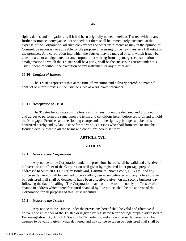rights, duties and obligations as if it had been originally named herein as Trustee, without any further assurance, conveyance, act or deed; but there shall be immediately executed, at the expense of the Corporation, all such conveyances or other instruments as may in the opinion of Counsel, be necessary or advisable for the purpose of assuring to the new Trustee a full estate in the premises. Any corporation into which the Trustee may be merged or with which it may be consolidated or amalgamated, or any corporation resulting from any merger, consolidation or amalgamation to which the Trustee shall be a party, shall be the successor Trustee under this Trust Indenture without the execution of any instrument or any further act.

#### **16.10** *Conflict of Interest*

 The Trustee represents that at the time of execution and delivery hereof, no material conflict of interest exists in the Trustee's role as a fiduciary hereunder.

## **16.11** *Acceptance of Trust*

 The Trustee hereby accepts the trusts in this Trust Indenture declared and provided for and agrees to perform the same upon the terms and conditions hereinbefore set forth and to hold the Mortgaged Premises and the floating charge and all the rights, privileges and benefits conferred hereby and by law in trust for the various persons who shall from time to time be Bondholders, subject to all the terms and conditions herein set forth.

## **ARTICLE XVII**

## **NOTICES**

#### **17.1** *Notice to the Corporation*

 Any notice to the Corporation under the provisions hereof shall be valid and effective if delivered to an officer of the Corporation or if given by registered letter postage prepaid addressed to Suite 200, 11 Akerley Boulevard, Dartmouth, Nova Scotia, B3B 1V1 and any notice so delivered shall be deemed to be validly given when delivered and any notice so given by registered mail shall be deemed to have been effectively given on the second business day following the day of mailing. The Corporation may from time to time notify the Trustee of a change in address which thereafter, until changed by like notice, shall be the address of the Corporation for all purposes of this Trust Indenture.

#### **17.2** *Notice to the Trustee*

 Any notice to the Trustee under the provisions hereof shall be valid and effective if delivered to an officer of the Trustee or if given by registered letter postage prepaid addressed to Beckeringhstraat 36, 3762 EX Soest, The Netherlands, and any notice so delivered shall be deemed to be validly given when delivered and any notice so given by registered mail shall be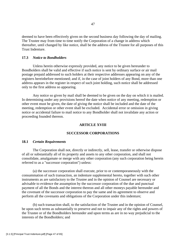deemed to have been effectively given on the second business day following the day of mailing. The Trustee may from time to time notify the Corporation of a change in address which thereafter, until changed by like notice, shall be the address of the Trustee for all purposes of this Trust Indenture.

## **17.3** *Notice to Bondholders*

 Unless herein otherwise expressly provided, any notice to be given hereunder to Bondholders shall be valid and effective if such notice is sent by ordinary surface or air mail postage prepaid addressed to such holders at their respective addresses appearing on any of the registers hereinbefore mentioned; and if, in the case of joint holders of any Bond, more than one address appears in the register in respect of such joint holding, such notice shall be addressed only to the first address so appearing.

 Any notice so given by mail shall be deemed to be given on the day on which it is mailed. In determining under any provisions hereof the date when notice of any meeting, redemption or other event must be given, the date of giving the notice shall be included and the date of the meeting, redemption or other event shall be excluded. Accidental error or omission in giving notice or accidental failure to mail notice to any Bondholder shall not invalidate any action or proceeding founded thereon.

#### **ARTICLE XVIII**

#### **SUCCESSOR CORPORATIONS**

#### **18.1** *Certain Requirements*

 The Corporation shall not, directly or indirectly, sell, lease, transfer or otherwise dispose of all or substantially all of its property and assets to any other corporation, and shall not consolidate, amalgamate or merge with any other corporation (any such corporation being herein referred to as a "successor corporation") unless:

 (a) the successor corporation shall execute, prior to or contemporaneously with the consummation of such transaction, an indenture supplemental hereto, together with such other instruments as are satisfactory to the Trustee and in the opinion of Counsel are necessary or advisable to evidence the assumption by the successor corporation of the due and punctual payment of all the Bonds and the interest thereon and all other moneys payable hereunder and the covenant of the successor corporation to pay the same and its agreement to observe and perform all the covenants and obligations of the Corporation under this indenture;

 (b) such transaction shall, to the satisfaction of the Trustee and in the opinion of Counsel, be upon such terms as substantially to preserve and not to impair any of the rights and powers of the Trustee or of the Bondholders hereunder and upon terms as are in no way prejudicial to the interests of the Bondholders; and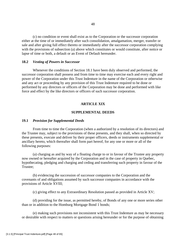(c) no condition or event shall exist as to the Corporation or the successor corporation either at the time of or immediately after such consolidation, amalgamation, merger, transfer or sale and after giving full effect thereto or immediately after the successor corporation complying with the provisions of subsection (a) above which constitutes or would constitute, after notice or lapse of time or both, a default or an Event of Default hereunder.

#### **18.2** *Vesting of Powers in Successor*

 Whenever the conditions of Section 18.1 have been duly observed and performed, the successor corporation shall possess and from time to time may exercise each and every right and power of the Corporation under this Trust Indenture in the name of the Corporation or otherwise and any act or proceeding by any provision of this Trust Indenture required to be done or performed by any directors or officers of the Corporation may be done and performed with like force and effect by the like directors or officers of such successor corporation.

#### **ARTICLE XIX**

## **SUPPLEMENTAL DEEDS**

#### **19.1** *Provision for Supplemental Deeds*

 From time to time the Corporation (when a authorized by a resolution of its directors) and the Trustee may, subject to the provisions of these presents, and they shall, when so directed by these presents, execute and deliver by their proper officers, deeds or instruments supplemental or ancillary hereto, which thereafter shall form part hereof, for any one or more or all of the following purposes:

 (a) charging as and by way of a floating charge to or in favour of the Trustee any property now owned or hereafter acquired by the Corporation and in the case of property in Quebec, hypothecating, pledging and charging and ceding and transferring such property in favour of the Trustee;

 (b) evidencing the succession of successor companies to the Corporation and the covenants of and obligations assumed by such successor companies in accordance with the provisions of Article XVIII;

(c) giving effect to any Extraordinary Resolution passed as provided in Article XV;

 (d) providing for the issue, as permitted hereby, of Bonds of any one or more series other than or in addition to the Homburg Mortgage Bond 1 bonds;

 (e) making such provisions not inconsistent with this Trust Indenture as may be necessary or desirable with respect to matters or questions arising hereunder or for the purpose of obtaining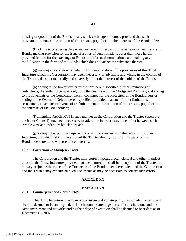a listing or quotation of the Bonds on any stock exchange or bourse, provided that such provisions are not, in the opinion of the Trustee, prejudicial to the interests of the Bondholders;

 (f) adding to or altering the provisions hereof in respect of the registration and transfer of Bonds; making provision for the issue of Bonds of denominations other than those herein provided for and for the exchange of Bonds of different denominations; and making any modification in the forms of the Bonds which does not affect the substance thereof;

 (g) making any addition to, deletion from or alteration of the provisions of this Trust Indenture which the Corporation may deem necessary or advisable and which, in the opinion of the Trustee, does not materially and adversely affect the interest of the holders of the Bonds;

 (h) adding to the limitations or restrictions herein specified further limitations or restrictions, thereafter to be observed, upon the dealing with the Mortgaged Premises; and adding to the covenants or the Corporation herein contained for the protection of the Bondholders or adding to the Events of Default herein specified; provided that such further limitations, restrictions, covenants or Events of Default are not, in the opinion of the Trustee, prejudicial to the interests of the Bondholders;

 (i) amending Article XVI in such manner as the Corporation and the Trustee (upon the advice of Counsel) may deem necessary or advisable in order to avoid conflict between such Article XVI and indenture legislation; and

 (j) for any other purpose required by or not inconsistent with the terms of this Trust Indenture, provided that in the opinion of the Trustee the rights of the Trustee or of the Bondholders are in no way prejudiced thereby.

#### **19.2** *Correction of Manifest Errors*

 The Corporation and the Trustee may correct typographical, clerical and other manifest errors in this Trust Indenture provided that such correction shall in the opinion of the Trustee in no way prejudice the rights of the Trustee or of the Bondholders hereunder, and the Corporation and the Trustee may execute all such documents as may be necessary to correct such errors.

#### **ARTICLE XX**

## **EXECUTION**

#### **20.1** *Counterparts and Formal Date*

 This Trust Indenture may be executed in several counterparts, each of which so executed shall be deemed to be an original, and such counterparts together shall constitute one and the same instrument and notwithstanding their date of execution shall be deemed to bear date as of December 15, 2002.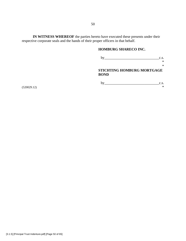**IN WITNESS WHEREOF** the parties hereto have executed these presents under their respective corporate seals and the hands of their proper officers in that behalf.

# **HOMBURG SHARECO INC.**

| bv                                        | C.S.   |
|-------------------------------------------|--------|
|                                           | $\ast$ |
|                                           | $\ast$ |
| STICHTING HOMBURG MORTGAGE<br><b>BOND</b> |        |
| h٧                                        | C.S.   |

 $(*320029.12)$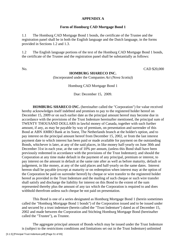## **APPENDIX A**

## **Form of Homburg CAD Mortgage Bond 1**

1.1 The Homburg CAD Mortgage Bond 1 bonds, the certificate of the Trustee and the registration panel shall be in both the English language and the Dutch language, in the forms provided in Sections 1.2 and 1.3.

1.2 The English language portions of the text of the Homburg CAD Mortgage Bond 1 bonds, the certificate of the Trustee and the registration panel shall be substantially as follows:

No. CAD \$20,000

## **HOMBURG SHARECO INC.**

(Incorporated under the Companies *Act (Nova Scotia)*)

Homburg CAD Mortgage Bond 1

Due: December 15, 2009.

**HOMBURG SHARECO INC.** (hereinafter called the "Corporation") for value received hereby acknowledges itself indebted and promises to pay to the registered holder hereof on December 15, 2009 or on such earlier date as the principal amount hereof may become due in accordance with the provisions of the Trust Indenture hereinafter mentioned, the principal sum of TWENTY THOUSAND DOLLARS in lawful money of Canada, together with such further amount, if any, as may be payable by way of premium, on presentation and surrender of this Bond at ABN AMRO Bank at its Soest, The Netherlands branch at the holder's option, and to pay interest on the principal amount hereof from December 15, 2002, or from the last interest payment date to which interest has been paid or made available for payment on the outstanding Bonds, whichever is later, at any of the said places, in like money half-yearly on June 30th and December 31st in each year, at the rate of 10% per annum, (unless this Bond shall have been previously redeemed in accordance with the provisions of the Trust Indenture); and should the Corporation at any time make default in the payment of any principal, premium or interest, to pay interest on the amount in default at the same rate after as well as before maturity, default or judgement, in like money, at any of the said places and half-yearly on the same dates. Interest hereon shall be payable (except at maturity or on redemption when interest may at the option of the Corporation be paid on surrender hereof) by cheque or wire transfer to the registered holder hereof as provided in the Trust Indenture and the mailing of such cheque or such wire transfer shall satisfy and discharge the liability for interest on this Bond to the extent of the sum represented thereby plus the amount of any tax which the Corporation is required to and does withhold therefrom unless such cheque be not paid on presentation.

 This Bond is one of a series designated as Homburg Mortgage Bond 1 (herein sometimes called the "Homburg Mortgage Bond 1 bonds") of the Corporation issued and to be issued under and secured by a trust indenture (herein called the "Trust Indenture") dated as of December 15, 2002 and made between the Corporation and Stichting Homburg Mortgage Bond (hereinafter called the "Trustee"), as Trustee.

 The aggregate principal amount of Bonds which may be issued under the Trust Indenture is (subject to the restrictions conditions and limitations set out in the Trust Indenture) unlimited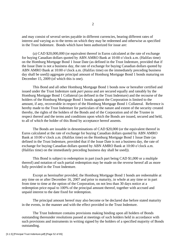and may consist of several series payable in different currencies, bearing different rates of interest and varying as to the terms on which they may be redeemed and otherwise as specified in the Trust Indenture. Bonds which have been authorized for issue are:

 (a) CAD \$20,000,000 (or equivalent thereof in Euros calculated at the rate of exchange for buying Canadian dollars quoted by ABN AMRO Bank at 10:00 o'clock a.m. (Halifax time) on the Homburg Mortgage Bond 1 Issue Date (as defined in the Trust Indenture, provided that if the Issue Date is not a business day, the rate of exchange for buying Canadian dollars quoted by ABN AMRO Bank at 10:00 o'clock a.m. (Halifax time) on the immediately preceding business day shall be used)) aggregate principal amount of Homburg Mortgage Bond 1 bonds maturing on December 15, 2009 (of which this is one).

 This Bond and all other Homburg Mortgage Bond 1 bonds now or hereafter certified and issued under the Trust Indenture rank *pari passu* and are secured equally and rateably by the Homburg Mortgage Bond 1 Collateral (as defined in the Trust Indenture) and the recourse of the holders of the Homburg Mortgage Bond 1 bonds against the Corporation is limited to the amount, if any, recoverable in respect of the Homburg Mortgage Bond 1 Collateral. Reference is hereby made to the Trust Indenture for particulars of the nature and extent of the security created thereby, the rights of the holders of the Bonds and of the Corporation and of the Trustee in respect thereof and the terms and conditions upon which the Bonds are issued, secured and held, to all of which the holder of this Bond by acceptance hereof assents.

 The Bonds are issuable in denominations of CAD \$20,000 (or the equivalent thereof in Euros calculated at the rate of exchange for buying Canadian dollars quoted by ABN AMRO Bank at 10:00 o'clock a.m. (Halifax time) on the Homburg Mortgage Bond 1 Issue Date (as defined in the Trust Indenture, provided that if the Issue Date is not a business day, the rate of exchange for buying Canadian dollars quoted by ABN AMRO Bank at 10:00 o'clock a.m. (Halifax time) on the immediately preceding business day shall be used)).

 This Bond is subject to redemption in part (such part being CAD \$1,000 or a multiple thereof) and notation of such partial redemption may be made on the reverse hereof all as more fully provided in the Trust Indenture.

 Except as hereinafter provided, the Homburg Mortgage Bond 1 bonds are redeemable at any time on or after December 16, 2007 and prior to maturity, in whole at any time or in part from time to time at the option of the Corporation, on not less than 30 days notice at a redemption price equal to 100% of the principal amount thereof, together with accrued and unpaid interest to the date fixed for redemption.

 The principal amount hereof may also become or be declared due before stated maturity in the events, in the manner and with the effect provided in the Trust Indenture.

 The Trust Indenture contains provisions making binding upon all holders of Bonds outstanding thereunder resolutions passed at meetings of such holders held in accordance with such provisions and instruments in writing signed by the holders of a specified majority of Bonds outstanding.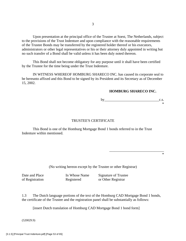Upon presentation at the principal office of the Trustee at Soest, The Netherlands, subject to the provisions of the Trust Indenture and upon compliance with the reasonable requirements of the Trustee Bonds may be transferred by the registered holder thereof or his executors, administrators or other legal representatives or his or their attorney duly appointed in writing but no such transfer of a Bond shall be valid unless it has been duly noted thereon.

 This Bond shall not become obligatory for any purpose until it shall have been certified by the Trustee for the time being under the Trust Indenture.

 IN WITNESS WHEREOF HOMBURG SHARECO INC. has caused its corporate seal to be hereunto affixed and this Bond to be signed by its President and its Secretary as of December 15, 2002.

## **HOMBURG SHARECO INC.**

by  $\rho$ \*

#### TRUSTEE'S CERTIFICATE

 This Bond is one of the Homburg Mortgage Bond 1 bonds referred to in the Trust Indenture within mentioned.

 $\overline{\phantom{a}}$  , which is a set of the contract of the contract of the contract of the contract of the contract of the contract of the contract of the contract of the contract of the contract of the contract of the contract \*

(No writing hereon except by the Trustee or other Registrar)

Date and Place In Whose Name Signature of Trustee of Registration Registered or Other Registrar

1.3 The Dutch language portions of the text of the Homburg CAD Mortgage Bond 1 bonds, the certificate of the Trustee and the registration panel shall be substantially as follows:

[insert Dutch translation of Homburg CAD Mortgage Bond 1 bond form]

(520029.9)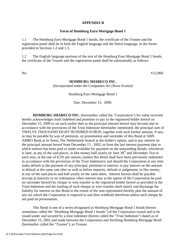## **APPENDIX B**

## **Form of Homburg Euro Mortgage Bond 1**

1.1 The Homburg Euro Mortgage Bond 1 bonds, the certificate of the Trustee and the registration panel shall be in both the English language and the Dutch language, in the forms provided in Sections 1.2 and 1.3.

1.2 The English language portions of the text of the Homburg Euro Mortgage Bond 1 bonds, the certificate of the Trustee and the registration panel shall be substantially as follows:

No.  $\bigoplus 2,800$ .

## **HOMBURG SHARECO INC.**

(Incorporated under the Companies *Act (Nova Scotia)*)

Homburg Euro Mortgage Bond 1

Due: December 15, 2009.

**HOMBURG SHARECO INC.** (hereinafter called the "Corporation") for value received hereby acknowledges itself indebted and promises to pay to the registered holder hereof on December 15, 2009 or on such earlier date as the principal amount hereof may become due in accordance with the provisions of the Trust Indenture hereinafter mentioned, the principal sum of TWELVE THOUSAND EIGHT HUNDRED EUROS, together with such further amount, if any, as may be payable by way of premium, on presentation and surrender of this Bond at ABN AMRO Bank at its Soest, The Netherlands branch at the holder's option, and to pay interest on the principal amount hereof from December 15 , 2002, or from the last interest payment date to which interest has been paid or made available for payment on the outstanding Bonds, whichever is later, at any of the said places, in like money half-yearly on June  $30<sup>th</sup>$  and December 31st in each year, at the rate of 8.5% per annum, (unless this Bond shall have been previously redeemed in accordance with the provisions of the Trust Indenture); and should the Corporation at any time make default in the payment of any principal, premium or interest, to pay interest on the amount in default at the same rate after as well as before maturity, default or judgement, in like money, at any of the said places and half-yearly on the same dates. Interest hereon shall be payable (except at maturity or on redemption when interest may at the option of the Corporation be paid on surrender hereof) by cheque or wire transfer to the registered holder hereof as provided in the Trust Indenture and the mailing of such cheque or wire transfer shall satisfy and discharge the liability for interest on this Bond to the extent of the sum represented thereby plus the amount of any tax which the Corporation is required to and does withhold therefrom unless such cheque be not paid on presentation.

 This Bond is one of a series designated as Homburg Mortgage Bond 1 bonds (herein sometimes called the "Homburg Mortgage Bond 1 bonds") of the Corporation issued and to be issued under and secured by a trust indenture (herein called the "Trust Indenture") dated as of December 15, 2002 and made between the Corporation and Stichting Homburg Mortgage Bond (hereinafter called the "Trustee"), as Trustee.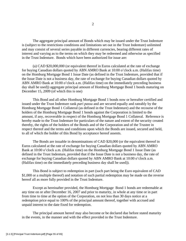The aggregate principal amount of Bonds which may be issued under the Trust Indenture is (subject to the restrictions conditions and limitations set out in the Trust Indenture) unlimited and may consist of several series payable in different currencies, bearing different rates of interest and varying as to the terms on which they may be redeemed and otherwise as specified in the Trust Indenture. Bonds which have been authorized for issue are:

 (a) CAD \$20,000,000 (or equivalent thereof in Euros calculated at the rate of exchange for buying Canadian dollars quoted by ABN AMRO Bank at 10:00 o'clock a.m. (Halifax time) on the Homburg Mortgage Bond 1 Issue Date (as defined in the Trust Indenture, provided that if the Issue Date is not a business day, the rate of exchange for buying Canadian dollars quoted by ABN AMRO Bank at 10:00 o'clock a.m. (Halifax time) on the immediately preceding business day shall be used)) aggregate principal amount of Homburg Mortgage Bond 1 bonds maturing on December 15, 2009 (of which this is one)

 This Bond and all other Homburg Mortgage Bond 1 bonds now or hereafter certified and issued under the Trust Indenture rank *pari passu* and are secured equally and rateably by the Homburg Mortgage Bond 1 Collateral (as defined in the Trust Indenture) and the recourse of the holders of the Homburg Mortgage Bond 1 bonds against the Corporation is limited to the amount, if any, recoverable in respect of the Homburg Mortgage Bond 1 Collateral. Reference is hereby made to the Trust Indenture for particulars of the nature and extent of the security created thereby, the rights of the holders of the Bonds and of the Corporation and of the Trustee in respect thereof and the terms and conditions upon which the Bonds are issued, secured and held, to all of which the holder of this Bond by acceptance hereof assents.

 The Bonds are issuable in denominations of CAD \$20,000 (or the equivalent thereof in Euros calculated at the rate of exchange for buying Canadian dollars quoted by ABN AMRO Bank at 10:00 o'clock a.m. (Halifax time) on the Homburg Mortgage Bond 1 Issue Date (as defined in the Trust Indenture, provided that if the Issue Date is not a business day, the rate of exchange for buying Canadian dollars quoted by ABN AMRO Bank at 10:00 o'clock a.m. (Halifax time) on the immediately preceding business day shall be used)).

 This Bond is subject to redemption in part (such part being the Euro equivalent of CAD \$1,000 or a multiple thereof) and notation of such partial redemption may be made on the reverse hereof all as more fully provided in the Trust Indenture.

 Except as hereinafter provided, the Homburg Mortgage Bond 1 bonds are redeemable at any time on or after December 16, 2007 and prior to maturity, in whole at any time or in part from time to time at the option of the Corporation, on not less than 30 days notice at a redemption price equal to 100% of the principal amount thereof, together with accrued and unpaid interest to the date fixed for redemption.

 The principal amount hereof may also become or be declared due before stated maturity in the events, in the manner and with the effect provided in the Trust Indenture.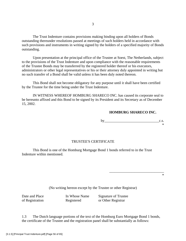The Trust Indenture contains provisions making binding upon all holders of Bonds outstanding thereunder resolutions passed at meetings of such holders held in accordance with such provisions and instruments in writing signed by the holders of a specified majority of Bonds outstanding.

 Upon presentation at the principal office of the Trustee at Soest, The Netherlands, subject to the provisions of the Trust Indenture and upon compliance with the reasonable requirements of the Trustee Bonds may be transferred by the registered holder thereof or his executors, administrators or other legal representatives or his or their attorney duly appointed in writing but no such transfer of a Bond shall be valid unless it has been duly noted thereon.

 This Bond shall not become obligatory for any purpose until it shall have been certified by the Trustee for the time being under the Trust Indenture.

 IN WITNESS WHEREOF HOMBURG SHARECO INC. has caused its corporate seal to be hereunto affixed and this Bond to be signed by its President and its Secretary as of December 15, 2002.

# **HOMBURG SHARECO INC.**

by  $\qquad c.s.$ \*

## TRUSTEE'S CERTIFICATE

 This Bond is one of the Homburg Mortgage Bond 1 bonds referred to in the Trust Indenture within mentioned.

 $\overline{\phantom{a}}$  , which is a set of the contract of the contract of the contract of the contract of the contract of the contract of the contract of the contract of the contract of the contract of the contract of the contract \*

(No writing hereon except by the Trustee or other Registrar)

Date and Place In Whose Name Signature of Trustee of Registration Registered or Other Registrar

1.3 The Dutch language portions of the text of the Homburg Euro Mortgage Bond 1 bonds, the certificate of the Trustee and the registration panel shall be substantially as follows: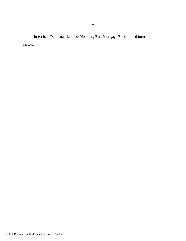[insert here Dutch translation of Homburg Euro Mortgage Bond 1 bond form] (520029.9)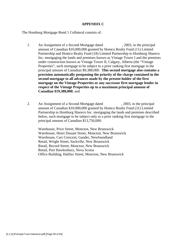## **APPENDIX C**

The Homburg Mortgage Bond 1 Collateral consists of:

- 1. An Assignment of a Second Mortgage dated , 2003, in the principal amount of Canadian \$10,000,000 granted by Homco Realty Fund (11) Limited Partnership and Homco Realty Fund (18) Limited Partnership to Homburg Shareco Inc. mortgaging the lands and premises known as Vintage Tower I and the premises under construction known as Vintage Tower II, Calgary, Alberta (the "Vintage Properties", such mortgage to be subject to a prior ranking first mortgage in the principal amount of Canadian \$9,388,000. **This second mortgage also contains a provision automatically postponing the priority of the charge contained in the second mortgage to all advances made by the present holder of the first mortgage on the Vintage Properties or any successor first mortgage lender in respect of the Vintage Properties up to a maximum principal amount of Canadian \$19,388,000**; and
- 2. An Assignment of a Second Mortgage dated , 2003, in the principal amount of Canadian \$10,000,000 granted by Homco Realty Fund (31) Limited Partnership to Homburg Shareco Inc. mortgaging the lands and premises described below, such mortgage to be subject only to a prior ranking first mortgage in the principal amount of Canadian \$13,750,000:

Warehouse, Price Street, Moncton, New Brunswick Warehouse, Henri Dunant Street, Moncton, New Brunswick Warehouse, Carr Crescent, Gander, Newfoundland Retail, Wright Street, Sackville, New Brunswick Retail, Record Street, Moncton, New Brunswick Retail, Port Hawkesbury, Nova Scotia Office Building, Halifax Street, Moncton, New Brunswick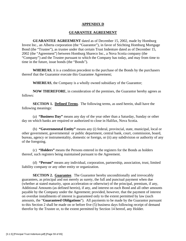## **APPENDIX D**

## **GUARANTEE AGREEMENT**

**GUARANTEE AGREEMENT** dated as of December 15, 2002, made by Homburg Invest Inc., an Alberta corporation (the "Guarantor"), in favor of Stichting Homburg Mortgage Bond (the "Trustee"), as trustee under that certain Trust Indenture dated as of December 15, 2002 (the "Agreement") between Homburg Shareco Inc., a Nova Scotia company (the "Company") and the Trustee pursuant to which the Company has today, and may from time to time in the future, issue bonds (the "Bonds").

**WHEREAS**, it is a condition precedent to the purchase of the Bonds by the purchasers thereof that the Guarantor execute this Guarantee Agreement;

**WHEREAS**, the Company is a wholly owned subsidiary of the Guarantor;

**NOW THEREFORE**, in consideration of the premises, the Guarantor hereby agrees as follows:

**SECTION 1. Defined Terms**. The following terms, as used herein, shall have the following meanings:

(a) **"Business Day"** means any day of the year other than a Saturday, Sunday or other day on which banks are required or authorized to close in Halifax, Nova Scotia.

(b) **"Governmental Entity"** means any (i) federal, provincial, state, municipal, local or other government, governmental or public department, central bank, court, commission, board, bureau, agency or instrumentality, domestic or foreign, or (ii) any subdivision or authority of any of the foregoing.

(c) **"Holders"** means the Persons entered in the registers for the Bonds as holders thereof, such registers being maintained pursuant to the Agreement.

(d) **"Person"** means any individual, corporation, partnership, association, trust, limited liability company or any other entity or organization.

**SECTION 2. Guarantee**. The Guarantor hereby unconditionally and irrevocably guarantees, as principal and not merely as surety, the full and punctual payment when due (whether at stated maturity, upon acceleration or otherwise) of the principal, premium, if any, Additional Amounts (as defined herein), if any, and interest on each Bond and all other amounts payable by the Company under the Agreement; provided, however, that the payment of interest on overdue installments of interest is guaranteed only to the extent permitted by law (such amounts, the "**Guaranteed Obligations**"). All payments to be made by the Guarantor pursuant to this Section 2 shall be made on or before five (5) business days following receipt of demand therefor by the Trustee or, to the extent permitted by Section 14 hereof, any Holder.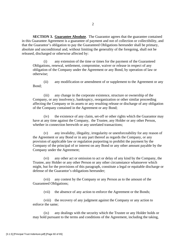**SECTION 3. Guarantee Absolute**. The Guarantor agrees that the guarantee contained in this Guarantee Agreement is a guarantee of payment and not of collection or collectibility, and that the Guarantor's obligation to pay the Guaranteed Obligations hereunder shall be primary, absolute and unconditional and, without limiting the generality of the foregoing, shall not be released, discharged or otherwise affected by:

(i) any extension of the time or times for the payment of the Guaranteed Obligations, renewal, settlement, compromise, waiver or release in respect of any obligation of the Company under the Agreement or any Bond, by operation of law or otherwise;

(ii) any modification or amendment of or supplement to the Agreement or any Bond;

(iii) any change in the corporate existence, structure or ownership of the Company, or any insolvency, bankruptcy, reorganization or other similar proceeding affecting the Company or its assets or any resulting release or discharge of any obligation of the Company contained in the Agreement or any Bond;

(iv) the existence of any claim, set-off or other rights which the Guarantor may have at any time against the Company, the Trustee, any Holder or any other Person, whether in connection herewith or any unrelated transactions;

(v) any invalidity, illegality, irregularity or unenforceability for any reason of the Agreement or any Bond or in any part thereof as regards the Company, or any provision of applicable law or regulation purporting to prohibit the payment by the Company of the principal of or interest on any Bond or any other amount payable by the Company under the Agreement;

(vi) any other act or omission to act or delay of any kind by the Company, the Trustee, any Holder or any other Person or any other circumstance whatsoever which might, but for the provisions of this paragraph, constitute a legal or equitable discharge or defense of the Guarantor's obligations hereunder;

(vii) any contest by the Company or any Person as to the amount of the Guaranteed Obligations;

(vii) the absence of any action to enforce the Agreement or the Bonds;

(viii) the recovery of any judgment against the Company or any action to enforce the same;

(ix) any dealings with the security which the Trustee or any Holder holds or may hold pursuant to the terms and conditions of the Agreement, including the taking,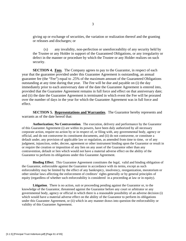giving up or exchange of securities, the variation or realization thereof and the granting or releases and discharges; or

(x) any invalidity, non-perfection or unenforceability of any security held by the Trustee or any Holder in support of the Guaranteed Obligations, or any irregularity or defect in the manner or procedure by which the Trustee or any Holder realizes on such security.

**SECTION 4. Fees.** The Company agrees to pay to the Guarantor, in respect of each year that the guarantee provided under this Guarantee Agreement is outstanding, an annual guarantee fee (the "Fee") equal to .25% of the maximum amount of the Guaranteed Obligations outstanding at any time during that year. The Fee will be due and payable on (i) the day immediately prior to each anniversary date of the date the Guarantee Agreement is entered into, provided that the Guarantee Agreement remains in full force and effect on that anniversary date; and (ii) the date the Guarantee Agreement is terminated in which event the Fee will be prorated over the number of days in the year for which the Guarantee Agreement was in full force and effect.

**SECTION 5. Representations and Warranties**. The Guarantor hereby represents and warrants as of the date hereof that:

**Authorization; No Contravention**. The execution, delivery and performance by the Guarantor of this Guarantee Agreement (i) are within its powers, have been duly authorized by all necessary corporate action, require no action by or in respect of, or filing with, any governmental body, agency or official, and do not contravene its constituent documents, and (ii) do not contravene, or constitute a default under, any provision of applicable law or regulation, as amended from time to time, or of any judgment, injunction, order, decree, agreement or other instrument binding upon the Guarantor or result in or require the creation or imposition of any lien on any asset of the Guarantor other than any contravention, default or lien which would not have a material adverse effect on the ability of the Guarantor to perform its obligations under this Guarantee Agreement.

**Binding Effect**. This Guarantee Agreement constitutes the legal, valid and binding obligation of the Guarantor, enforceable against the Guarantor in accordance with its terms, except as such enforceability may be limited by the effect of any bankruptcy, insolvency, reorganization, moratorium or other similar laws affecting the enforcement of creditors' rights generally or by general principles of equity (regardless of whether such enforceability is considered in a proceeding at law or in equity).

**Litigation**. There is no action, suit or proceeding pending against the Guarantor or, to the knowledge of the Guarantor, threatened against the Guarantor before any court or arbitrator or any governmental body, agency or official in which there is a reasonable possibility of an adverse decision (i) which would have a material adverse effect on the ability of the Guarantor to perform its obligations under this Guarantee Agreement, or (ii) which in any manner draws into question the enforceability or validity of this Guarantee Agreement.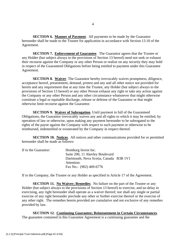**SECTION 6. Manner of Payment**. All payments to be made by the Guarantor hereunder shall be made to the Trustee for application in accordance with Section 13.10 of the Agreement.

**SECTION 7. Enforcement of Guarantee**. The Guarantor agrees that the Trustee or any Holder (but subject always to the provisions of Section 13 hereof) need not seek or exhaust their recourse against the Company or any other Person or realize on any security they may hold in respect of the Guaranteed Obligations before being entitled to payment under this Guarantee Agreement.

**SECTION 8. Waiver.** The Guarantor hereby irrevocably waives promptness, diligence, acceptance hereof, presentment, demand, protest and any and all other notice not provided for herein and any requirement that at any time the Trustee, any Holder (but subject always to the provisions of Section 13 hereof) or any other Person exhaust any right or take any action against the Company or any other Person and any other circumstance whatsoever that might otherwise constitute a legal or equitable discharge, release or defense of the Guarantor or that might otherwise limit recourse against the Guarantor.

**SECTION 9. Waiver of Subrogation**. Until payment in full of the Guaranteed Obligations, the Guarantor irrevocably waives any and all rights to which it may be entitled, by operation of law or otherwise, upon making any payment hereunder to be subrogated to the rights of the payee against the Company with respect to such payment or otherwise to be reimbursed, indemnified or exonerated by the Company in respect thereof.

**SECTION 10. Notices**. All notices and other communications provided for or permitted hereunder shall be made as follows:

| If to the Guarantor: | Homburg Invest Inc.                    |  |
|----------------------|----------------------------------------|--|
|                      | Suite 200, 11 Akerley Boulevard        |  |
|                      | Dartmouth, Nova Scotia, Canada B3B 1V1 |  |
|                      | Attention:                             |  |
|                      | Fax No.: (902) 469-6776                |  |

If to the Company, the Trustee or any Holder as specified in Article 17 of the Agreement.

**SECTION 11. No Waiver; Remedies**. No failure on the part of the Trustee or any Holder (but subject always to the provisions of Section 13 hereof) to exercise, and no delay in exercising, any right hereunder shall operate as a waiver thereof; nor shall any single or partial exercise of any right hereunder preclude any other or further exercise thereof or the exercise of any other right. The remedies herein provided are cumulative and not exclusive of any remedies provided by law.

**SECTION 12. Continuing Guarantee; Reinstatement in Certain Circumstances**. The guarantee contained in this Guarantee Agreement is a continuing guarantee and the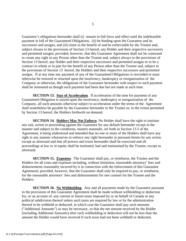Guarantor's obligations hereunder shall (i) remain in full force and effect until the indefeasible payment in full of the Guaranteed Obligations, (ii) be binding upon the Guarantor and its successors and assigns, and (iii) inure to the benefit of and be enforceable by the Trustee and, subject always to the provisions of Section 13 hereof, any Holder and their respective successors and permitted assigns; provided, however, that this Guarantee Agreement shall not be construed to create any right in any Person other than the Trustee and, subject always to the provisions of Section 13 hereof, any Holder and their respective successors and permitted assigns or to be a contract in whole or in part for the benefit of any Person other than the Trustee and, subject to the provisions of Section 13 hereof, the Holders and their respective successors and permitted assigns. If at any time any payment of any of the Guaranteed Obligations is rescinded or must otherwise be restored or returned upon the insolvency, bankruptcy or reorganization of the Company or otherwise, the obligations of the Guarantor hereunder with respect to such payment shall be reinstated as though such payment had been due but not made at such time.

**SECTION 13. Stay of Acceleration.** If acceleration of the time for payment of any Guaranteed Obligation is stayed upon the insolvency, bankruptcy or reorganization of the Company, all such amounts otherwise subject to acceleration under the terms of the Agreement shall nonetheless be payable by the Guarantor hereunder to the Trustee or, to the extent permitted by Section 13 hereof, the Holders forthwith on demand.

**SECTION 14. Holders May Not Enforce**. No Holder shall have the right to institute any suit, action or proceeding against the Guarantor for any default hereunder except in the manner and subject to the conditions, *mutatis mutandis*, set forth in Section 13.5 of the Agreement, it being understood and intended that no one or more of the Holders shall have any right in any manner whatsoever to enforce any right hereunder or pursuant hereto by any action except as aforesaid and that all powers and trusts hereunder shall be exercised and all proceedings at law or in equity shall be instituted, had and maintained by the Trustee, except as aforesaid.

**SECTION 15. Expenses**. The Guarantor shall pay, or reimburse, the Trustee and the Holders for all costs and expenses including, without limitation, reasonable attorneys' fees and disbursements reasonably incurred by it in connection with the enforcement of this Guarantee Agreement; provided, however, that the Guarantor shall only be required to pay, or reimburse, for the reasonable attorneys' fees and disbursements for one counsel for the Trustee and the Holders.

**SECTION 16. No Withholding**. Any and all payments made by the Guarantor pursuant to the provisions of this Guarantee Agreement shall be made without withholding or deduction for, or on account of, any current or future taxes imposed by or on behalf of Canada or any political subdivision thereof unless such taxes are required by law or by the administration thereof to be withheld or deducted, in which case the Guarantor shall pay such amounts ("Additional Amounts") as may be necessary, so that the net amount received by the Holder (including Additional Amounts) after such withholding or deduction will not be less than the amount the Holder would have received if such taxes had not been withheld or deducted,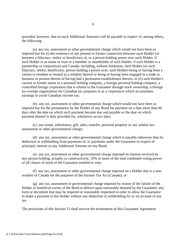provided, however, that no such Additional Amounts will be payable in respect of, among others, the following:

(a) any tax, assessment or other governmental charge which would not have been so imposed but for (i) the existence of any present or former connection between such Holder (or between a fiduciary, settlor or beneficiary of, or a person holding power over such Holder, if such Holder is an estate or trust or a member or shareholder of such Holder, if such Holder is a partnership or corporation) and Canada, including, without limitation, such Holder (or such fiduciary, settlor, beneficiary, person holding a power over, such Holder) being or having been a citizen or resident or treated as a resident thereof or being or having been engaged in a trade or business or present therein of having had a permanent establishment therein, or (ii) such Holder's current or former status as a personal holding company, a foreign personal holding company, a controlled foreign corporation that is related to the Guarantor through stock ownership, a foreign tax-exempt organization for Canadian tax purposes or as a corporation which accumulates earnings to avoid Canadian income tax;

(b) any tax, assessment or other governmental charge which would not have been so imposed but for the presentation by the Holder of any Bond for payment on a date more than 60 days after the date on which such payment became due and payable or the date on which payment thereof is duly provided for, whichever occurs later;

(c) any estate, inheritance, gift, sales, transfer, personal property or any similar tax, assessment or other governmental charge;

(d) any tax, assessment or other governmental charge which is payable otherwise than by deduction or withholding from payments of, or payments under the Guarantee in respect of principal, interest or any Additional Amount on any Bond;

(e) any tax, assessment or other governmental charge imposed on interest received by any person holding, actually or constructively, 10% or more of the total combined voting power of all classes of stock of the Guarantor entitled to vote;

(f) any tax, assessment or other governmental charge imposed on a Holder that is a nonresident of Canada for the purposes of the Income Tax Act (Canada); or

(g) any tax, assessment or governmental charge imposed by reason of the failure of the Holder or beneficial owner of the Bond to deliver upon reasonable demand by the Guarantor, any form or document that may be required or reasonably requested in order to allow the Guarantor to make a payment to the Holder without any deduction or withholding for or on account of any tax.

The provisions of this Section 15 shall survive the termination of this Guarantee Agreement.